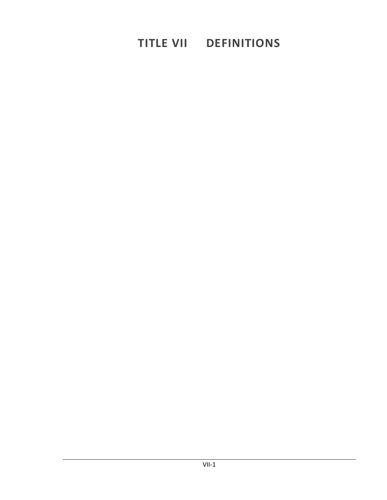# **TITLE VII DEFINITIONS**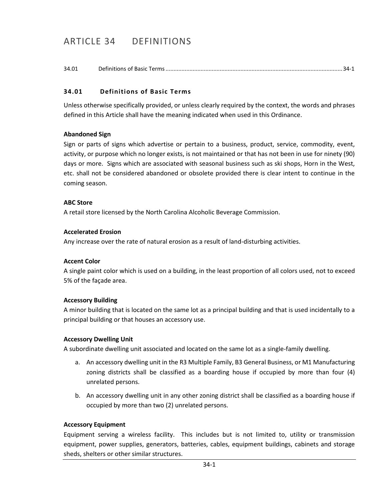## ARTICLE 34 DEFINITIONS

34.01 [Definitions of Basic Terms...............................................................................................................34-1](#page-2-0)

## <span id="page-2-0"></span>**34.01 Definitions of Basic Terms**

Unless otherwise specifically provided, or unless clearly required by the context, the words and phrases defined in this Article shall have the meaning indicated when used in this Ordinance.

#### **Abandoned Sign**

Sign or parts of signs which advertise or pertain to a business, product, service, commodity, event, activity, or purpose which no longer exists, is not maintained or that has not been in use for ninety (90) days or more. Signs which are associated with seasonal business such as ski shops, Horn in the West, etc. shall not be considered abandoned or obsolete provided there is clear intent to continue in the coming season.

#### **ABC Store**

A retail store licensed by the North Carolina Alcoholic Beverage Commission.

#### **Accelerated Erosion**

Any increase over the rate of natural erosion as a result of land-disturbing activities.

#### **Accent Color**

A single paint color which is used on a building, in the least proportion of all colors used, not to exceed 5% of the façade area.

#### **Accessory Building**

A minor building that is located on the same lot as a principal building and that is used incidentally to a principal building or that houses an accessory use.

#### **Accessory Dwelling Unit**

A subordinate dwelling unit associated and located on the same lot as a single-family dwelling.

- a. An accessory dwelling unit in the R3 Multiple Family, B3 General Business, or M1 Manufacturing zoning districts shall be classified as a boarding house if occupied by more than four (4) unrelated persons.
- b. An accessory dwelling unit in any other zoning district shall be classified as a boarding house if occupied by more than two (2) unrelated persons.

#### **Accessory Equipment**

Equipment serving a wireless facility. This includes but is not limited to, utility or transmission equipment, power supplies, generators, batteries, cables, equipment buildings, cabinets and storage sheds, shelters or other similar structures.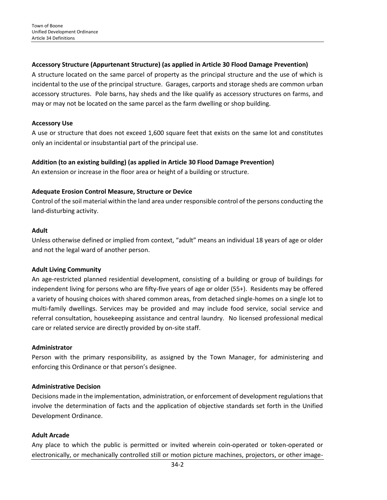## **Accessory Structure (Appurtenant Structure) (as applied in Article 30 Flood Damage Prevention)**

A structure located on the same parcel of property as the principal structure and the use of which is incidental to the use of the principal structure. Garages, carports and storage sheds are common urban accessory structures. Pole barns, hay sheds and the like qualify as accessory structures on farms, and may or may not be located on the same parcel as the farm dwelling or shop building.

#### **Accessory Use**

A use or structure that does not exceed 1,600 square feet that exists on the same lot and constitutes only an incidental or insubstantial part of the principal use.

## **Addition (to an existing building) (as applied in Article 30 Flood Damage Prevention)**

An extension or increase in the floor area or height of a building or structure.

## **Adequate Erosion Control Measure, Structure or Device**

Control of the soil material within the land area under responsible control of the persons conducting the land-disturbing activity.

#### **Adult**

Unless otherwise defined or implied from context, "adult" means an individual 18 years of age or older and not the legal ward of another person.

#### **Adult Living Community**

An age-restricted planned residential development, consisting of a building or group of buildings for independent living for persons who are fifty-five years of age or older (55+). Residents may be offered a variety of housing choices with shared common areas, from detached single-homes on a single lot to multi-family dwellings. Services may be provided and may include food service, social service and referral consultation, housekeeping assistance and central laundry. No licensed professional medical care or related service are directly provided by on-site staff.

#### **Administrator**

Person with the primary responsibility, as assigned by the Town Manager, for administering and enforcing this Ordinance or that person's designee.

#### **Administrative Decision**

Decisions made in the implementation, administration, or enforcement of development regulations that involve the determination of facts and the application of objective standards set forth in the Unified Development Ordinance.

#### **Adult Arcade**

Any place to which the public is permitted or invited wherein coin-operated or token-operated or electronically, or mechanically controlled still or motion picture machines, projectors, or other image-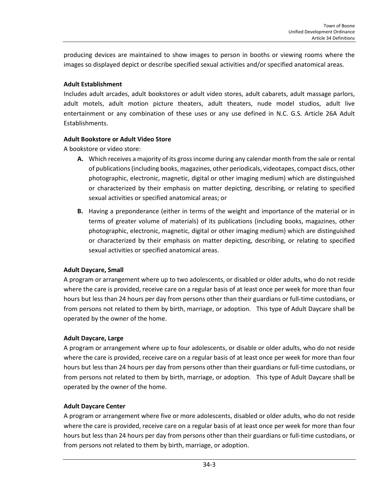producing devices are maintained to show images to person in booths or viewing rooms where the images so displayed depict or describe specified sexual activities and/or specified anatomical areas.

## **Adult Establishment**

Includes adult arcades, adult bookstores or adult video stores, adult cabarets, adult massage parlors, adult motels, adult motion picture theaters, adult theaters, nude model studios, adult live entertainment or any combination of these uses or any use defined in N.C. G.S. Article 26A Adult Establishments.

## **Adult Bookstore or Adult Video Store**

A bookstore or video store:

- **A.** Which receives a majority of its gross income during any calendar month from the sale or rental of publications (including books, magazines, other periodicals, videotapes, compact discs, other photographic, electronic, magnetic, digital or other imaging medium) which are distinguished or characterized by their emphasis on matter depicting, describing, or relating to specified sexual activities or specified anatomical areas; or
- **B.** Having a preponderance (either in terms of the weight and importance of the material or in terms of greater volume of materials) of its publications (including books, magazines, other photographic, electronic, magnetic, digital or other imaging medium) which are distinguished or characterized by their emphasis on matter depicting, describing, or relating to specified sexual activities or specified anatomical areas.

## **Adult Daycare, Small**

A program or arrangement where up to two adolescents, or disabled or older adults, who do not reside where the care is provided, receive care on a regular basis of at least once per week for more than four hours but less than 24 hours per day from persons other than their guardians or full-time custodians, or from persons not related to them by birth, marriage, or adoption. This type of Adult Daycare shall be operated by the owner of the home.

#### **Adult Daycare, Large**

A program or arrangement where up to four adolescents, or disable or older adults, who do not reside where the care is provided, receive care on a regular basis of at least once per week for more than four hours but less than 24 hours per day from persons other than their guardians or full-time custodians, or from persons not related to them by birth, marriage, or adoption. This type of Adult Daycare shall be operated by the owner of the home.

#### **Adult Daycare Center**

A program or arrangement where five or more adolescents, disabled or older adults, who do not reside where the care is provided, receive care on a regular basis of at least once per week for more than four hours but less than 24 hours per day from persons other than their guardians or full-time custodians, or from persons not related to them by birth, marriage, or adoption.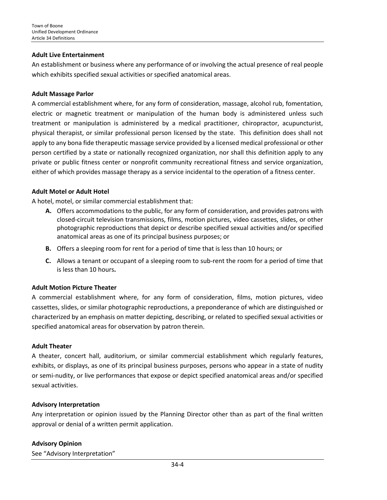#### **Adult Live Entertainment**

An establishment or business where any performance of or involving the actual presence of real people which exhibits specified sexual activities or specified anatomical areas.

#### **Adult Massage Parlor**

A commercial establishment where, for any form of consideration, massage, alcohol rub, fomentation, electric or magnetic treatment or manipulation of the human body is administered unless such treatment or manipulation is administered by a medical practitioner, chiropractor, acupuncturist, physical therapist, or similar professional person licensed by the state. This definition does shall not apply to any bona fide therapeutic massage service provided by a licensed medical professional or other person certified by a state or nationally recognized organization, nor shall this definition apply to any private or public fitness center or nonprofit community recreational fitness and service organization, either of which provides massage therapy as a service incidental to the operation of a fitness center.

#### **Adult Motel or Adult Hotel**

A hotel, motel, or similar commercial establishment that:

- **A.** Offers accommodations to the public, for any form of consideration, and provides patrons with closed-circuit television transmissions, films, motion pictures, video cassettes, slides, or other photographic reproductions that depict or describe specified sexual activities and/or specified anatomical areas as one of its principal business purposes; or
- **B.** Offers a sleeping room for rent for a period of time that is less than 10 hours; or
- **C.** Allows a tenant or occupant of a sleeping room to sub-rent the room for a period of time that is less than 10 hours**.**

#### **Adult Motion Picture Theater**

A commercial establishment where, for any form of consideration, films, motion pictures, video cassettes, slides, or similar photographic reproductions, a preponderance of which are distinguished or characterized by an emphasis on matter depicting, describing, or related to specified sexual activities or specified anatomical areas for observation by patron therein.

#### **Adult Theater**

A theater, concert hall, auditorium, or similar commercial establishment which regularly features, exhibits, or displays, as one of its principal business purposes, persons who appear in a state of nudity or semi-nudity, or live performances that expose or depict specified anatomical areas and/or specified sexual activities.

#### **Advisory Interpretation**

Any interpretation or opinion issued by the Planning Director other than as part of the final written approval or denial of a written permit application.

#### **Advisory Opinion**

See "Advisory Interpretation"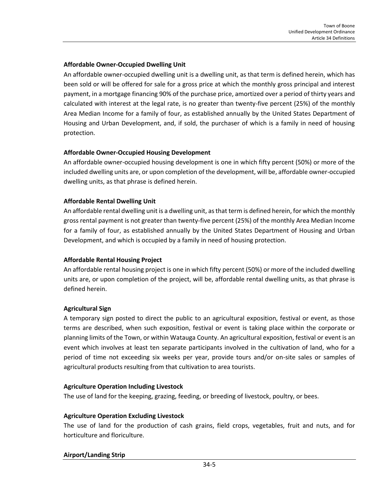## **Affordable Owner-Occupied Dwelling Unit**

An affordable owner-occupied dwelling unit is a dwelling unit, as that term is defined herein, which has been sold or will be offered for sale for a gross price at which the monthly gross principal and interest payment, in a mortgage financing 90% of the purchase price, amortized over a period of thirty years and calculated with interest at the legal rate, is no greater than twenty-five percent (25%) of the monthly Area Median Income for a family of four, as established annually by the United States Department of Housing and Urban Development, and, if sold, the purchaser of which is a family in need of housing protection.

## **Affordable Owner-Occupied Housing Development**

An affordable owner-occupied housing development is one in which fifty percent (50%) or more of the included dwelling units are, or upon completion of the development, will be, affordable owner-occupied dwelling units, as that phrase is defined herein.

## **Affordable Rental Dwelling Unit**

An affordable rental dwelling unit is a dwelling unit, as that term is defined herein, for which the monthly gross rental payment is not greater than twenty-five percent (25%) of the monthly Area Median Income for a family of four, as established annually by the United States Department of Housing and Urban Development, and which is occupied by a family in need of housing protection.

#### **Affordable Rental Housing Project**

An affordable rental housing project is one in which fifty percent (50%) or more of the included dwelling units are, or upon completion of the project, will be, affordable rental dwelling units, as that phrase is defined herein.

## **Agricultural Sign**

A temporary sign posted to direct the public to an agricultural exposition, festival or event, as those terms are described, when such exposition, festival or event is taking place within the corporate or planning limits of the Town, or within Watauga County. An agricultural exposition, festival or event is an event which involves at least ten separate participants involved in the cultivation of land, who for a period of time not exceeding six weeks per year, provide tours and/or on-site sales or samples of agricultural products resulting from that cultivation to area tourists.

#### **Agriculture Operation Including Livestock**

The use of land for the keeping, grazing, feeding, or breeding of livestock, poultry, or bees.

#### **Agriculture Operation Excluding Livestock**

The use of land for the production of cash grains, field crops, vegetables, fruit and nuts, and for horticulture and floriculture.

#### **Airport/Landing Strip**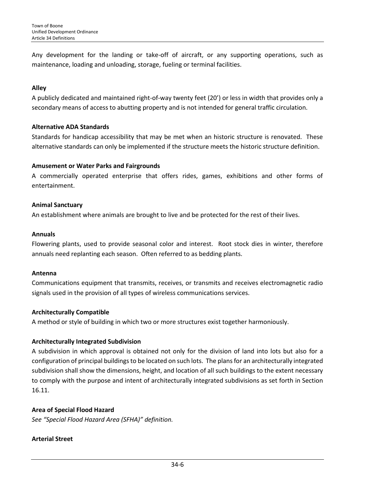Any development for the landing or take-off of aircraft, or any supporting operations, such as maintenance, loading and unloading, storage, fueling or terminal facilities.

## **Alley**

A publicly dedicated and maintained right-of-way twenty feet (20') or less in width that provides only a secondary means of access to abutting property and is not intended for general traffic circulation.

#### **Alternative ADA Standards**

Standards for handicap accessibility that may be met when an historic structure is renovated. These alternative standards can only be implemented if the structure meets the historic structure definition.

## **Amusement or Water Parks and Fairgrounds**

A commercially operated enterprise that offers rides, games, exhibitions and other forms of entertainment.

## **Animal Sanctuary**

An establishment where [animals](http://en.wikipedia.org/wiki/Animal) are brought to live and be protected for the rest of their lives.

#### **Annuals**

Flowering plants, used to provide seasonal color and interest. Root stock dies in winter, therefore annuals need replanting each season. Often referred to as bedding plants.

#### **Antenna**

Communications equipment that transmits, receives, or transmits and receives electromagnetic radio signals used in the provision of all types of wireless communications services.

## **Architecturally Compatible**

A method or style of building in which two or more structures exist together harmoniously.

## **Architecturally Integrated Subdivision**

A subdivision in which approval is obtained not only for the division of land into lots but also for a configuration of principal buildings to be located on such lots. The plans for an architecturally integrated subdivision shall show the dimensions, height, and location of all such buildings to the extent necessary to comply with the purpose and intent of architecturally integrated subdivisions as set forth in Section 16.11.

## **Area of Special Flood Hazard**

*See "Special Flood Hazard Area (SFHA)" definition.*

## **Arterial Street**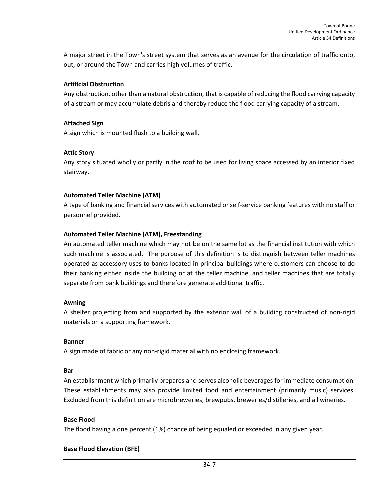A major street in the Town's street system that serves as an avenue for the circulation of traffic onto, out, or around the Town and carries high volumes of traffic.

#### **Artificial Obstruction**

Any obstruction, other than a natural obstruction, that is capable of reducing the flood carrying capacity of a stream or may accumulate debris and thereby reduce the flood carrying capacity of a stream.

#### **Attached Sign**

A sign which is mounted flush to a building wall.

## **Attic Story**

Any story situated wholly or partly in the roof to be used for living space accessed by an interior fixed stairway.

## **Automated Teller Machine (ATM)**

A type of banking and financial services with automated or self-service banking features with no staff or personnel provided.

## **Automated Teller Machine (ATM), Freestanding**

An automated teller machine which may not be on the same lot as the financial institution with which such machine is associated. The purpose of this definition is to distinguish between teller machines operated as accessory uses to banks located in principal buildings where customers can choose to do their banking either inside the building or at the teller machine, and teller machines that are totally separate from bank buildings and therefore generate additional traffic.

#### **Awning**

A shelter projecting from and supported by the exterior wall of a building constructed of non-rigid materials on a supporting framework.

#### **Banner**

A sign made of fabric or any non-rigid material with no enclosing framework.

#### **Bar**

An establishment which primarily prepares and serves alcoholic beverages for immediate consumption. These establishments may also provide limited food and entertainment (primarily music) services. Excluded from this definition are microbreweries, brewpubs, breweries/distilleries, and all wineries.

#### **Base Flood**

The flood having a one percent (1%) chance of being equaled or exceeded in any given year.

#### **Base Flood Elevation (BFE)**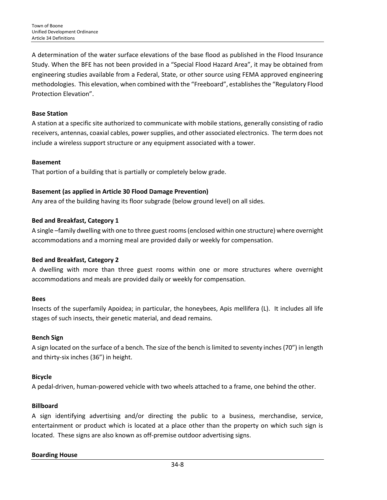A determination of the water surface elevations of the base flood as published in the Flood Insurance Study. When the BFE has not been provided in a "Special Flood Hazard Area", it may be obtained from engineering studies available from a Federal, State, or other source using FEMA approved engineering methodologies. This elevation, when combined with the "Freeboard", establishes the "Regulatory Flood Protection Elevation".

## **Base Station**

A station at a specific site authorized to communicate with mobile stations, generally consisting of radio receivers, antennas, coaxial cables, power supplies, and other associated electronics. The term does not include a wireless support structure or any equipment associated with a tower.

#### **Basement**

That portion of a building that is partially or completely below grade.

## **Basement (as applied in Article 30 Flood Damage Prevention)**

Any area of the building having its floor subgrade (below ground level) on all sides.

## **Bed and Breakfast, Category 1**

A single –family dwelling with one to three guest rooms (enclosed within one structure) where overnight accommodations and a morning meal are provided daily or weekly for compensation.

#### **Bed and Breakfast, Category 2**

A dwelling with more than three guest rooms within one or more structures where overnight accommodations and meals are provided daily or weekly for compensation.

#### **Bees**

Insects of the superfamily Apoidea; in particular, the honeybees, Apis mellifera (L). It includes all life stages of such insects, their genetic material, and dead remains.

#### **Bench Sign**

A sign located on the surface of a bench. The size of the bench is limited to seventy inches (70") in length and thirty-six inches (36") in height.

#### **Bicycle**

A pedal-driven, human-powered vehicle with two wheels attached to a frame, one behind the other.

## **Billboard**

A sign identifying advertising and/or directing the public to a business, merchandise, service, entertainment or product which is located at a place other than the property on which such sign is located. These signs are also known as off-premise outdoor advertising signs.

#### **Boarding House**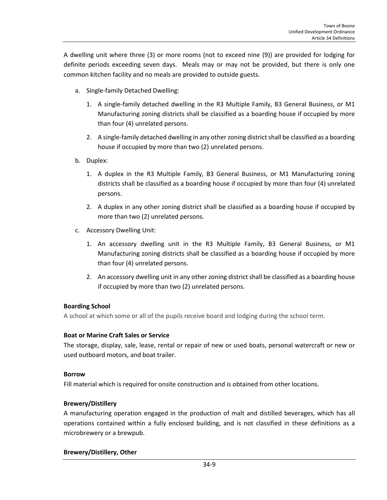A dwelling unit where three (3) or more rooms (not to exceed nine (9)) are provided for lodging for definite periods exceeding seven days. Meals may or may not be provided, but there is only one common kitchen facility and no meals are provided to outside guests.

- a. Single-family Detached Dwelling:
	- 1. A single-family detached dwelling in the R3 Multiple Family, B3 General Business, or M1 Manufacturing zoning districts shall be classified as a boarding house if occupied by more than four (4) unrelated persons.
	- 2. A single-family detached dwelling in any other zoning district shall be classified as a boarding house if occupied by more than two (2) unrelated persons.
- b. Duplex:
	- 1. A duplex in the R3 Multiple Family, B3 General Business, or M1 Manufacturing zoning districts shall be classified as a boarding house if occupied by more than four (4) unrelated persons.
	- 2. A duplex in any other zoning district shall be classified as a boarding house if occupied by more than two (2) unrelated persons.
- c. Accessory Dwelling Unit:
	- 1. An accessory dwelling unit in the R3 Multiple Family, B3 General Business, or M1 Manufacturing zoning districts shall be classified as a boarding house if occupied by more than four (4) unrelated persons.
	- 2. An accessory dwelling unit in any other zoning district shall be classified as a boarding house if occupied by more than two (2) unrelated persons.

## **Boarding School**

A school at which some or all of the pupils receive board and lodging during the school term.

## **Boat or Marine Craft Sales or Service**

The storage, display, sale, lease, rental or repair of new or used boats, personal watercraft or new or used outboard motors, and boat trailer.

## **Borrow**

Fill material which is required for onsite construction and is obtained from other locations.

## **Brewery/Distillery**

A manufacturing operation engaged in the production of malt and distilled beverages, which has all operations contained within a fully enclosed building, and is not classified in these definitions as a microbrewery or a brewpub.

## **Brewery/Distillery, Other**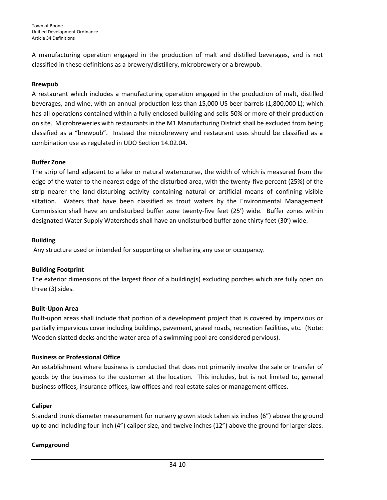A manufacturing operation engaged in the production of malt and distilled beverages, and is not classified in these definitions as a brewery/distillery, microbrewery or a brewpub.

#### **Brewpub**

A restaurant which includes a manufacturing operation engaged in the production of malt, distilled beverages, and wine, with an annual production less than 15,000 US beer barrels (1,800,000 L); which has all operations contained within a fully enclosed building and sells 50% or more of their production on site. Microbreweries with restaurants in the M1 Manufacturing District shall be excluded from being classified as a "brewpub". Instead the microbrewery and restaurant uses should be classified as a combination use as regulated in UDO Section 14.02.04.

#### **Buffer Zone**

The strip of land adjacent to a lake or natural watercourse, the width of which is measured from the edge of the water to the nearest edge of the disturbed area, with the twenty-five percent (25%) of the strip nearer the land-disturbing activity containing natural or artificial means of confining visible siltation. Waters that have been classified as trout waters by the Environmental Management Commission shall have an undisturbed buffer zone twenty-five feet (25') wide. Buffer zones within designated Water Supply Watersheds shall have an undisturbed buffer zone thirty feet (30') wide.

#### **Building**

Any structure used or intended for supporting or sheltering any use or occupancy.

#### **Building Footprint**

The exterior dimensions of the largest floor of a building(s) excluding porches which are fully open on three (3) sides.

#### **Built-Upon Area**

Built-upon areas shall include that portion of a development project that is covered by impervious or partially impervious cover including buildings, pavement, gravel roads, recreation facilities, etc. (Note: Wooden slatted decks and the water area of a swimming pool are considered pervious).

#### **Business or Professional Office**

An establishment where business is conducted that does not primarily involve the sale or transfer of goods by the business to the customer at the location. This includes, but is not limited to, general business offices, insurance offices, law offices and real estate sales or management offices.

#### **Caliper**

Standard trunk diameter measurement for nursery grown stock taken six inches (6") above the ground up to and including four-inch (4") caliper size, and twelve inches (12") above the ground for larger sizes.

#### **Campground**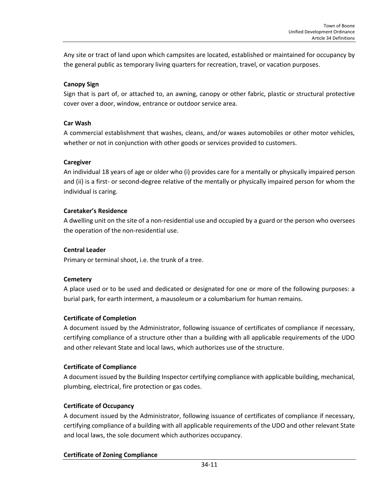Any site or tract of land upon which campsites are located, established or maintained for occupancy by the general public as temporary living quarters for recreation, travel, or vacation purposes.

## **Canopy Sign**

Sign that is part of, or attached to, an awning, canopy or other fabric, plastic or structural protective cover over a door, window, entrance or outdoor service area.

#### **Car Wash**

A commercial establishment that washes, cleans, and/or waxes automobiles or other motor vehicles, whether or not in conjunction with other goods or services provided to customers.

## **Caregiver**

An individual 18 years of age or older who (i) provides care for a mentally or physically impaired person and (ii) is a first- or second-degree relative of the mentally or physically impaired person for whom the individual is caring.

## **Caretaker's Residence**

A dwelling unit on the site of a non-residential use and occupied by a guard or the person who oversees the operation of the non-residential use.

#### **Central Leader**

Primary or terminal shoot, i.e. the trunk of a tree.

#### **Cemetery**

A place used or to be used and dedicated or designated for one or more of the following purposes: a burial park, for earth interment, a mausoleum or a columbarium for human remains.

## **Certificate of Completion**

A document issued by the Administrator, following issuance of certificates of compliance if necessary, certifying compliance of a structure other than a building with all applicable requirements of the UDO and other relevant State and local laws, which authorizes use of the structure.

#### **Certificate of Compliance**

A document issued by the Building Inspector certifying compliance with applicable building, mechanical, plumbing, electrical, fire protection or gas codes.

## **Certificate of Occupancy**

A document issued by the Administrator, following issuance of certificates of compliance if necessary, certifying compliance of a building with all applicable requirements of the UDO and other relevant State and local laws, the sole document which authorizes occupancy.

## **Certificate of Zoning Compliance**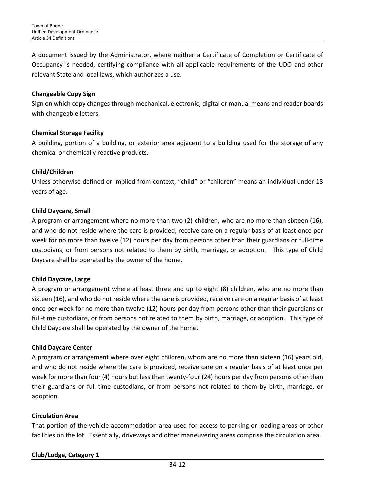A document issued by the Administrator, where neither a Certificate of Completion or Certificate of Occupancy is needed, certifying compliance with all applicable requirements of the UDO and other relevant State and local laws, which authorizes a use.

## **Changeable Copy Sign**

Sign on which copy changes through mechanical, electronic, digital or manual means and reader boards with changeable letters.

## **Chemical Storage Facility**

A building, portion of a building, or exterior area adjacent to a building used for the storage of any chemical or chemically reactive products.

## **Child/Children**

Unless otherwise defined or implied from context, "child" or "children" means an individual under 18 years of age.

## **Child Daycare, Small**

A program or arrangement where no more than two (2) children, who are no more than sixteen (16), and who do not reside where the care is provided, receive care on a regular basis of at least once per week for no more than twelve (12) hours per day from persons other than their guardians or full-time custodians, or from persons not related to them by birth, marriage, or adoption. This type of Child Daycare shall be operated by the owner of the home.

#### **Child Daycare, Large**

A program or arrangement where at least three and up to eight (8) children, who are no more than sixteen (16), and who do not reside where the care is provided, receive care on a regular basis of at least once per week for no more than twelve (12) hours per day from persons other than their guardians or full-time custodians, or from persons not related to them by birth, marriage, or adoption. This type of Child Daycare shall be operated by the owner of the home.

## **Child Daycare Center**

A program or arrangement where over eight children, whom are no more than sixteen (16) years old, and who do not reside where the care is provided, receive care on a regular basis of at least once per week for more than four (4) hours but less than twenty-four (24) hours per day from persons other than their guardians or full-time custodians, or from persons not related to them by birth, marriage, or adoption.

## **Circulation Area**

That portion of the vehicle accommodation area used for access to parking or loading areas or other facilities on the lot. Essentially, driveways and other maneuvering areas comprise the circulation area.

**Club/Lodge, Category 1**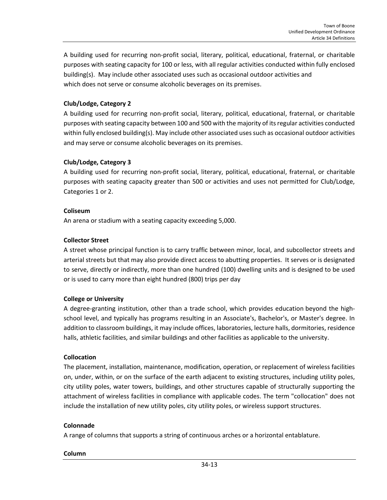A building used for recurring non-profit social, literary, political, educational, fraternal, or charitable purposes with seating capacity for 100 or less, with all regular activities conducted within fully enclosed building(s). May include other associated uses such as occasional outdoor activities and which does not serve or consume alcoholic beverages on its premises.

## **Club/Lodge, Category 2**

A building used for recurring non-profit social, literary, political, educational, fraternal, or charitable purposes with seating capacity between 100 and 500 with the majority of its regular activities conducted within fully enclosed building(s). May include other associated uses such as occasional outdoor activities and may serve or consume alcoholic beverages on its premises.

#### **Club/Lodge, Category 3**

A building used for recurring non-profit social, literary, political, educational, fraternal, or charitable purposes with seating capacity greater than 500 or activities and uses not permitted for Club/Lodge, Categories 1 or 2.

#### **Coliseum**

An arena or stadium with a seating capacity exceeding 5,000.

#### **Collector Street**

A street whose principal function is to carry traffic between minor, local, and subcollector streets and arterial streets but that may also provide direct access to abutting properties. It serves or is designated to serve, directly or indirectly, more than one hundred (100) dwelling units and is designed to be used or is used to carry more than eight hundred (800) trips per day

#### **College or University**

A degree-granting institution, other than a trade school, which provides education beyond the highschool level, and typically has programs resulting in an Associate's, Bachelor's, or Master's degree. In addition to classroom buildings, it may include offices, laboratories, lecture halls, dormitories, residence halls, athletic facilities, and similar buildings and other facilities as applicable to the university.

#### **Collocation**

The placement, installation, maintenance, modification, operation, or replacement of wireless facilities on, under, within, or on the surface of the earth adjacent to existing structures, including utility poles, city utility poles, water towers, buildings, and other structures capable of structurally supporting the attachment of wireless facilities in compliance with applicable codes. The term "collocation" does not include the installation of new utility poles, city utility poles, or wireless support structures.

#### **Colonnade**

A range of columns that supports a string of continuous arches or a horizontal entablature.

#### **Column**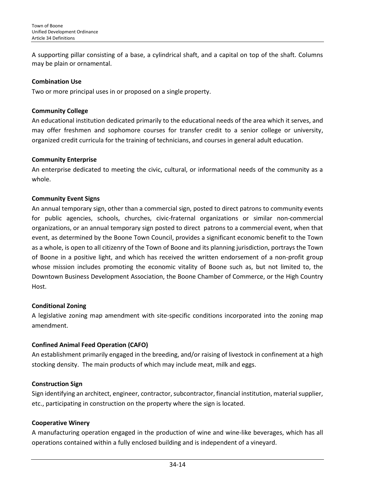A supporting pillar consisting of a base, a cylindrical shaft, and a capital on top of the shaft. Columns may be plain or ornamental.

#### **Combination Use**

Two or more principal uses in or proposed on a single property.

#### **Community College**

An educational institution dedicated primarily to the educational needs of the area which it serves, and may offer freshmen and sophomore courses for transfer credit to a senior college or university, organized credit curricula for the training of technicians, and courses in general adult education.

## **Community Enterprise**

An enterprise dedicated to meeting the civic, cultural, or informational needs of the community as a whole.

## **Community Event Signs**

An annual temporary sign, other than a commercial sign, posted to direct patrons to community events for public agencies, schools, churches, civic-fraternal organizations or similar non-commercial organizations, or an annual temporary sign posted to direct patrons to a commercial event, when that event, as determined by the Boone Town Council, provides a significant economic benefit to the Town as a whole, is open to all citizenry of the Town of Boone and its planning jurisdiction, portrays the Town of Boone in a positive light, and which has received the written endorsement of a non-profit group whose mission includes promoting the economic vitality of Boone such as, but not limited to, the Downtown Business Development Association, the Boone Chamber of Commerce, or the High Country Host.

## **Conditional Zoning**

A legislative zoning map amendment with site-specific conditions incorporated into the zoning map amendment.

## **Confined Animal Feed Operation (CAFO)**

An establishment primarily engaged in the breeding, and/or raising of livestock in confinement at a high stocking density. The main products of which may include meat, milk and eggs.

## **Construction Sign**

Sign identifying an architect, engineer, contractor, subcontractor, financial institution, material supplier, etc., participating in construction on the property where the sign is located.

## **Cooperative Winery**

A manufacturing operation engaged in the production of wine and wine-like beverages, which has all operations contained within a fully enclosed building and is independent of a vineyard.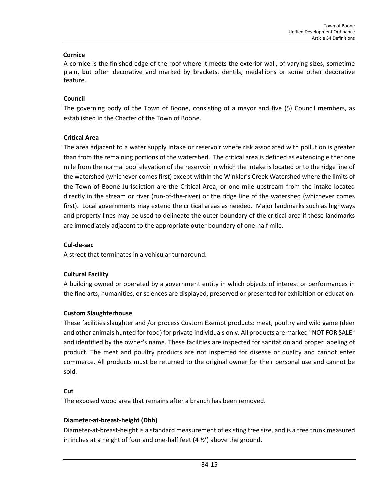#### **Cornice**

A cornice is the finished edge of the roof where it meets the exterior wall, of varying sizes, sometime plain, but often decorative and marked by brackets, dentils, medallions or some other decorative feature.

## **Council**

The governing body of the Town of Boone, consisting of a mayor and five (5) Council members, as established in the Charter of the Town of Boone.

## **Critical Area**

The area adjacent to a water supply intake or reservoir where risk associated with pollution is greater than from the remaining portions of the watershed. The critical area is defined as extending either one mile from the normal pool elevation of the reservoir in which the intake is located or to the ridge line of the watershed (whichever comes first) except within the Winkler's Creek Watershed where the limits of the Town of Boone Jurisdiction are the Critical Area; or one mile upstream from the intake located directly in the stream or river (run-of-the-river) or the ridge line of the watershed (whichever comes first). Local governments may extend the critical areas as needed. Major landmarks such as highways and property lines may be used to delineate the outer boundary of the critical area if these landmarks are immediately adjacent to the appropriate outer boundary of one-half mile.

## **Cul-de-sac**

A street that terminates in a vehicular turnaround.

## **Cultural Facility**

A building owned or operated by a government entity in which objects of interest or performances in the fine arts, humanities, or sciences are displayed, preserved or presented for exhibition or education.

## **Custom Slaughterhouse**

These facilities slaughter and /or process Custom Exempt products: meat, poultry and wild game (deer and other animals hunted for food) for private individuals only. All products are marked "NOT FOR SALE" and identified by the owner's name. These facilities are inspected for sanitation and proper labeling of product. The meat and poultry products are not inspected for disease or quality and cannot enter commerce. All products must be returned to the original owner for their personal use and cannot be sold.

## **Cut**

The exposed wood area that remains after a branch has been removed.

## **Diameter-at-breast-height (Dbh)**

Diameter-at-breast-height is a standard measurement of existing tree size, and is a tree trunk measured in inches at a height of four and one-half feet (4 ½') above the ground.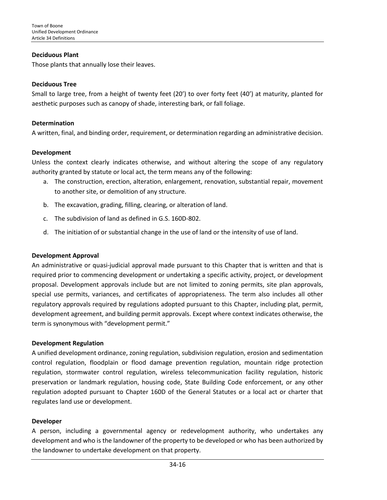#### **Deciduous Plant**

Those plants that annually lose their leaves.

#### **Deciduous Tree**

Small to large tree, from a height of twenty feet (20') to over forty feet (40') at maturity, planted for aesthetic purposes such as canopy of shade, interesting bark, or fall foliage.

#### **Determination**

A written, final, and binding order, requirement, or determination regarding an administrative decision.

#### **Development**

Unless the context clearly indicates otherwise, and without altering the scope of any regulatory authority granted by statute or local act, the term means any of the following:

- a. The construction, erection, alteration, enlargement, renovation, substantial repair, movement to another site, or demolition of any structure.
- b. The excavation, grading, filling, clearing, or alteration of land.
- c. The subdivision of land as defined in G.S. 160D-802.
- d. The initiation of or substantial change in the use of land or the intensity of use of land.

#### **Development Approval**

An administrative or quasi-judicial approval made pursuant to this Chapter that is written and that is required prior to commencing development or undertaking a specific activity, project, or development proposal. Development approvals include but are not limited to zoning permits, site plan approvals, special use permits, variances, and certificates of appropriateness. The term also includes all other regulatory approvals required by regulations adopted pursuant to this Chapter, including plat, permit, development agreement, and building permit approvals. Except where context indicates otherwise, the term is synonymous with "development permit."

#### **Development Regulation**

A unified development ordinance, zoning regulation, subdivision regulation, erosion and sedimentation control regulation, floodplain or flood damage prevention regulation, mountain ridge protection regulation, stormwater control regulation, wireless telecommunication facility regulation, historic preservation or landmark regulation, housing code, State Building Code enforcement, or any other regulation adopted pursuant to Chapter 160D of the General Statutes or a local act or charter that regulates land use or development.

#### **Developer**

A person, including a governmental agency or redevelopment authority, who undertakes any development and who is the landowner of the property to be developed or who has been authorized by the landowner to undertake development on that property.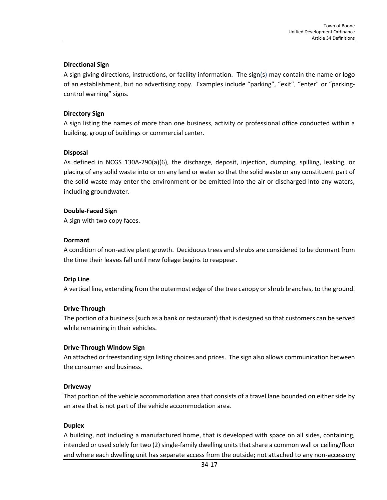#### **Directional Sign**

A sign giving directions, instructions, or facility information. The sign(s) may contain the name or logo of an establishment, but no advertising copy. Examples include "parking", "exit", "enter" or "parkingcontrol warning" signs.

#### **Directory Sign**

A sign listing the names of more than one business, activity or professional office conducted within a building, group of buildings or commercial center.

#### **Disposal**

As defined in NCGS 130A-290(a)(6), the discharge, deposit, injection, dumping, spilling, leaking, or placing of any solid waste into or on any land or water so that the solid waste or any constituent part of the solid waste may enter the environment or be emitted into the air or discharged into any waters, including groundwater.

#### **Double-Faced Sign**

A sign with two copy faces.

#### **Dormant**

A condition of non-active plant growth. Deciduous trees and shrubs are considered to be dormant from the time their leaves fall until new foliage begins to reappear.

#### **Drip Line**

A vertical line, extending from the outermost edge of the tree canopy or shrub branches, to the ground.

#### **Drive-Through**

The portion of a business (such as a bank or restaurant) that is designed so that customers can be served while remaining in their vehicles.

#### **Drive-Through Window Sign**

An attached or freestanding sign listing choices and prices. The sign also allows communication between the consumer and business.

#### **Driveway**

That portion of the vehicle accommodation area that consists of a travel lane bounded on either side by an area that is not part of the vehicle accommodation area.

#### **Duplex**

A building, not including a manufactured home, that is developed with space on all sides, containing, intended or used solely for two (2) single-family dwelling units that share a common wall or ceiling/floor and where each dwelling unit has separate access from the outside; not attached to any non-accessory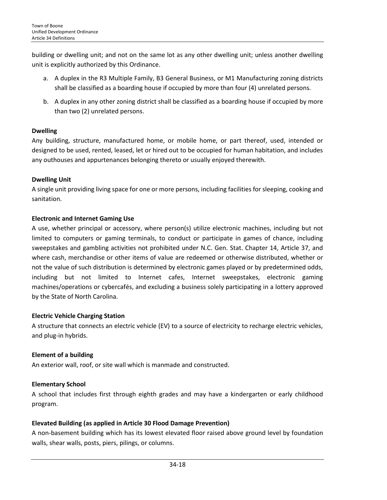building or dwelling unit; and not on the same lot as any other dwelling unit; unless another dwelling unit is explicitly authorized by this Ordinance.

- a. A duplex in the R3 Multiple Family, B3 General Business, or M1 Manufacturing zoning districts shall be classified as a boarding house if occupied by more than four (4) unrelated persons.
- b. A duplex in any other zoning district shall be classified as a boarding house if occupied by more than two (2) unrelated persons.

## **Dwelling**

Any building, structure, manufactured home, or mobile home, or part thereof, used, intended or designed to be used, rented, leased, let or hired out to be occupied for human habitation, and includes any outhouses and appurtenances belonging thereto or usually enjoyed therewith.

## **Dwelling Unit**

A single unit providing living space for one or more persons, including facilities for sleeping, cooking and sanitation.

## **Electronic and Internet Gaming Use**

A use, whether principal or accessory, where person(s) utilize electronic machines, including but not limited to computers or gaming terminals, to conduct or participate in games of chance, including sweepstakes and gambling activities not prohibited under N.C. Gen. Stat. Chapter 14, Article 37, and where cash, merchandise or other items of value are redeemed or otherwise distributed, whether or not the value of such distribution is determined by electronic games played or by predetermined odds, including but not limited to Internet cafes, Internet sweepstakes, electronic gaming machines/operations or cybercafés, and excluding a business solely participating in a lottery approved by the State of North Carolina.

## **Electric Vehicle Charging Station**

A structure that connects an electric vehicle (EV) to a source of electricity to recharge electric vehicles, and plug-in hybrids.

## **Element of a building**

An exterior wall, roof, or site wall which is manmade and constructed.

## **Elementary School**

A school that includes first through eighth grades and may have a kindergarten or early childhood program.

## **Elevated Building (as applied in Article 30 Flood Damage Prevention)**

A non-basement building which has its lowest elevated floor raised above ground level by foundation walls, shear walls, posts, piers, pilings, or columns.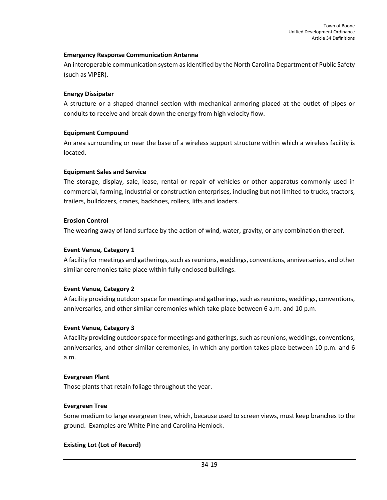#### **Emergency Response Communication Antenna**

An interoperable communication system as identified by the North Carolina Department of Public Safety (such as VIPER).

#### **Energy Dissipater**

A structure or a shaped channel section with mechanical armoring placed at the outlet of pipes or conduits to receive and break down the energy from high velocity flow.

#### **Equipment Compound**

An area surrounding or near the base of a wireless support structure within which a wireless facility is located.

#### **Equipment Sales and Service**

The storage, display, sale, lease, rental or repair of vehicles or other apparatus commonly used in commercial, farming, industrial or construction enterprises, including but not limited to trucks, tractors, trailers, bulldozers, cranes, backhoes, rollers, lifts and loaders.

#### **Erosion Control**

The wearing away of land surface by the action of wind, water, gravity, or any combination thereof.

#### **Event Venue, Category 1**

A facility for meetings and gatherings, such as reunions, weddings, conventions, anniversaries, and other similar ceremonies take place within fully enclosed buildings.

#### **Event Venue, Category 2**

A facility providing outdoor space for meetings and gatherings, such as reunions, weddings, conventions, anniversaries, and other similar ceremonies which take place between 6 a.m. and 10 p.m.

#### **Event Venue, Category 3**

A facility providing outdoor space for meetings and gatherings, such as reunions, weddings, conventions, anniversaries, and other similar ceremonies, in which any portion takes place between 10 p.m. and 6 a.m.

#### **Evergreen Plant**

Those plants that retain foliage throughout the year.

#### **Evergreen Tree**

Some medium to large evergreen tree, which, because used to screen views, must keep branches to the ground. Examples are White Pine and Carolina Hemlock.

#### **Existing Lot (Lot of Record)**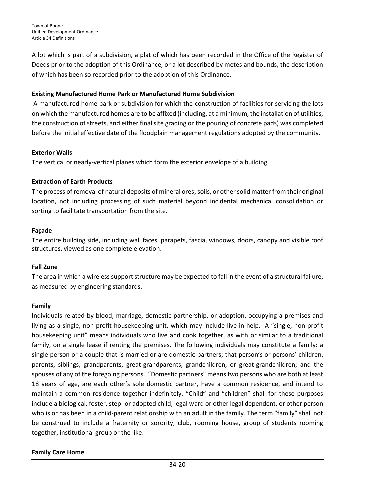A lot which is part of a subdivision, a plat of which has been recorded in the Office of the Register of Deeds prior to the adoption of this Ordinance, or a lot described by metes and bounds, the description of which has been so recorded prior to the adoption of this Ordinance.

## **Existing Manufactured Home Park or Manufactured Home Subdivision**

A manufactured home park or subdivision for which the construction of facilities for servicing the lots on which the manufactured homes are to be affixed (including, at a minimum, the installation of utilities, the construction of streets, and either final site grading or the pouring of concrete pads) was completed before the initial effective date of the floodplain management regulations adopted by the community.

## **Exterior Walls**

The vertical or nearly-vertical planes which form the exterior envelope of a building.

## **Extraction of Earth Products**

The process of removal of natural deposits of mineral ores, soils, or other solid matter from their original location, not including processing of such material beyond incidental mechanical consolidation or sorting to facilitate transportation from the site.

## **Façade**

The entire building side, including wall faces, parapets, fascia, windows, doors, canopy and visible roof structures, viewed as one complete elevation.

#### **Fall Zone**

The area in which a wireless support structure may be expected to fall in the event of a structural failure, as measured by engineering standards.

#### **Family**

Individuals related by blood, marriage, domestic partnership, or adoption, occupying a premises and living as a single, non-profit housekeeping unit, which may include live-in help. A "single, non-profit housekeeping unit" means individuals who live and cook together, as with or similar to a traditional family, on a single lease if renting the premises. The following individuals may constitute a family: a single person or a couple that is married or are domestic partners; that person's or persons' children, parents, siblings, grandparents, great-grandparents, grandchildren, or great-grandchildren; and the spouses of any of the foregoing persons. "Domestic partners" means two persons who are both at least 18 years of age, are each other's sole domestic partner, have a common residence, and intend to maintain a common residence together indefinitely. "Child" and "children" shall for these purposes include a biological, foster, step- or adopted child, legal ward or other legal dependent, or other person who is or has been in a child-parent relationship with an adult in the family. The term "family" shall not be construed to include a fraternity or sorority, club, rooming house, group of students rooming together, institutional group or the like.

## **Family Care Home**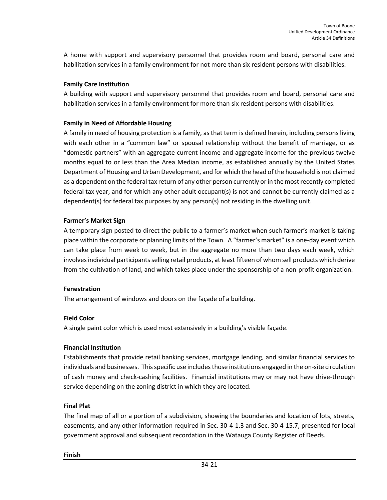A home with support and supervisory personnel that provides room and board, personal care and habilitation services in a family environment for not more than six resident persons with disabilities.

## **Family Care Institution**

A building with support and supervisory personnel that provides room and board, personal care and habilitation services in a family environment for more than six resident persons with disabilities.

## **Family in Need of Affordable Housing**

A family in need of housing protection is a family, as that term is defined herein, including persons living with each other in a "common law" or spousal relationship without the benefit of marriage, or as "domestic partners" with an aggregate current income and aggregate income for the previous twelve months equal to or less than the Area Median income, as established annually by the United States Department of Housing and Urban Development, and for which the head of the household is not claimed as a dependent on the federal tax return of any other person currently or in the most recently completed federal tax year, and for which any other adult occupant(s) is not and cannot be currently claimed as a dependent(s) for federal tax purposes by any person(s) not residing in the dwelling unit.

#### **Farmer's Market Sign**

A temporary sign posted to direct the public to a farmer's market when such farmer's market is taking place within the corporate or planning limits of the Town. A "farmer's market" is a one-day event which can take place from week to week, but in the aggregate no more than two days each week, which involves individual participants selling retail products, at least fifteen of whom sell products which derive from the cultivation of land, and which takes place under the sponsorship of a non-profit organization.

#### **Fenestration**

The arrangement of windows and doors on the façade of a building.

#### **Field Color**

A single paint color which is used most extensively in a building's visible façade.

#### **Financial Institution**

Establishments that provide retail banking services, mortgage lending, and similar financial services to individuals and businesses. This specific use includes those institutions engaged in the on-site circulation of cash money and check-cashing facilities. Financial institutions may or may not have drive-through service depending on the zoning district in which they are located.

## **Final Plat**

The final map of all or a portion of a subdivision, showing the boundaries and location of lots, streets, easements, and any other information required in Sec. 30-4-1.3 and Sec. 30-4-15.7, presented for local government approval and subsequent recordation in the Watauga County Register of Deeds.

#### **Finish**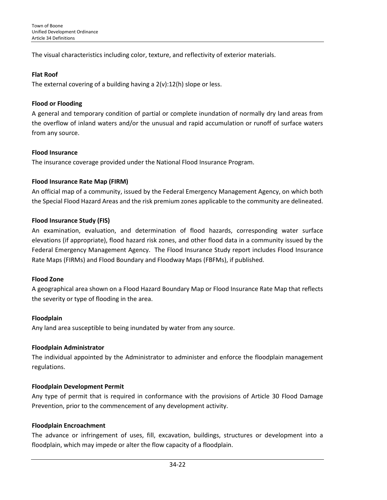The visual characteristics including color, texture, and reflectivity of exterior materials.

#### **Flat Roof**

The external covering of a building having a  $2(v):12(h)$  slope or less.

## **Flood or Flooding**

A general and temporary condition of partial or complete inundation of normally dry land areas from the overflow of inland waters and/or the unusual and rapid accumulation or runoff of surface waters from any source.

## **Flood Insurance**

The insurance coverage provided under the National Flood Insurance Program.

## **Flood Insurance Rate Map (FIRM)**

An official map of a community, issued by the Federal Emergency Management Agency, on which both the Special Flood Hazard Areas and the risk premium zones applicable to the community are delineated.

## **Flood Insurance Study (FIS)**

An examination, evaluation, and determination of flood hazards, corresponding water surface elevations (if appropriate), flood hazard risk zones, and other flood data in a community issued by the Federal Emergency Management Agency. The Flood Insurance Study report includes Flood Insurance Rate Maps (FIRMs) and Flood Boundary and Floodway Maps (FBFMs), if published.

#### **Flood Zone**

A geographical area shown on a Flood Hazard Boundary Map or Flood Insurance Rate Map that reflects the severity or type of flooding in the area.

#### **Floodplain**

Any land area susceptible to being inundated by water from any source.

## **Floodplain Administrator**

The individual appointed by the Administrator to administer and enforce the floodplain management regulations.

#### **Floodplain Development Permit**

Any type of permit that is required in conformance with the provisions of Article 30 Flood Damage Prevention, prior to the commencement of any development activity.

#### **Floodplain Encroachment**

The advance or infringement of uses, fill, excavation, buildings, structures or development into a floodplain, which may impede or alter the flow capacity of a floodplain.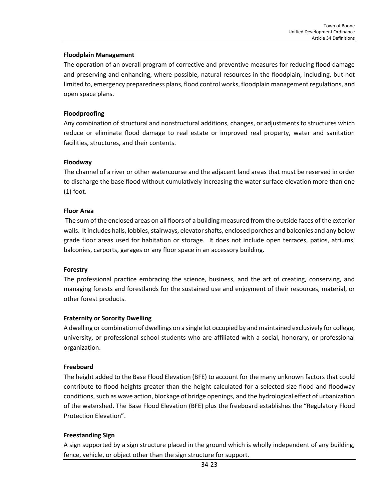#### **Floodplain Management**

The operation of an overall program of corrective and preventive measures for reducing flood damage and preserving and enhancing, where possible, natural resources in the floodplain, including, but not limited to, emergency preparedness plans, flood control works, floodplain management regulations, and open space plans.

#### **Floodproofing**

Any combination of structural and nonstructural additions, changes, or adjustments to structures which reduce or eliminate flood damage to real estate or improved real property, water and sanitation facilities, structures, and their contents.

#### **Floodway**

The channel of a river or other watercourse and the adjacent land areas that must be reserved in order to discharge the base flood without cumulatively increasing the water surface elevation more than one (1) foot.

#### **Floor Area**

The sum of the enclosed areas on all floors of a building measured from the outside faces of the exterior walls. It includes halls, lobbies, stairways, elevator shafts, enclosed porches and balconies and any below grade floor areas used for habitation or storage. It does not include open terraces, patios, atriums, balconies, carports, garages or any floor space in an accessory building.

#### **Forestry**

The professional practice embracing the science, business, and the art of creating, conserving, and managing forests and forestlands for the sustained use and enjoyment of their resources, material, or other forest products.

#### **Fraternity or Sorority Dwelling**

A dwelling or combination of dwellings on a single lot occupied by and maintained exclusively for college, university, or professional school students who are affiliated with a social, honorary, or professional organization.

#### **Freeboard**

The height added to the Base Flood Elevation (BFE) to account for the many unknown factors that could contribute to flood heights greater than the height calculated for a selected size flood and floodway conditions, such as wave action, blockage of bridge openings, and the hydrological effect of urbanization of the watershed. The Base Flood Elevation (BFE) plus the freeboard establishes the "Regulatory Flood Protection Elevation".

#### **Freestanding Sign**

A sign supported by a sign structure placed in the ground which is wholly independent of any building, fence, vehicle, or object other than the sign structure for support.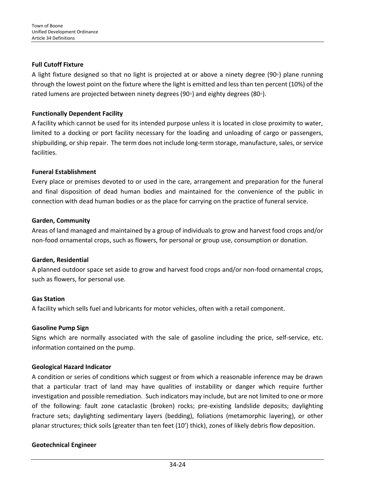## **Full Cutoff Fixture**

A light fixture designed so that no light is projected at or above a ninety degree (90◦) plane running through the lowest point on the fixture where the light is emitted and less than ten percent (10%) of the rated lumens are projected between ninety degrees (90◦) and eighty degrees (80◦).

## **Functionally Dependent Facility**

A facility which cannot be used for its intended purpose unless it is located in close proximity to water, limited to a docking or port facility necessary for the loading and unloading of cargo or passengers, shipbuilding, or ship repair. The term does not include long-term storage, manufacture, sales, or service facilities.

## **Funeral Establishment**

Every place or premises devoted to or used in the care, arrangement and preparation for the funeral and final disposition of dead human bodies and maintained for the convenience of the public in connection with dead human bodies or as the place for carrying on the practice of funeral service.

## **Garden, Community**

Areas of land managed and maintained by a group of individuals to grow and harvest food crops and/or non-food ornamental crops, such as flowers, for personal or group use, consumption or donation.

## **Garden, Residential**

A planned outdoor space set aside to grow and harvest food crops and/or non-food ornamental crops, such as flowers, for personal use.

## **Gas Station**

A facility which sells fuel and lubricants for motor vehicles, often with a retail component.

#### **Gasoline Pump Sign**

Signs which are normally associated with the sale of gasoline including the price, self-service, etc. information contained on the pump.

#### **Geological Hazard Indicator**

A condition or series of conditions which suggest or from which a reasonable inference may be drawn that a particular tract of land may have qualities of instability or danger which require further investigation and possible remediation. Such indicators may include, but are not limited to one or more of the following: fault zone cataclastic (broken) rocks; pre-existing landslide deposits; daylighting fracture sets; daylighting sedimentary layers (bedding), foliations (metamorphic layering), or other planar structures; thick soils (greater than ten feet (10') thick), zones of likely debris flow deposition.

#### **Geotechnical Engineer**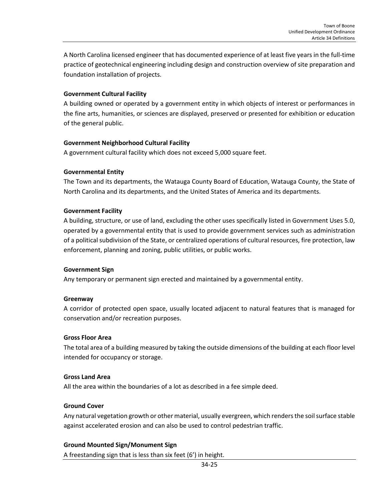A North Carolina licensed engineer that has documented experience of at least five years in the full-time practice of geotechnical engineering including design and construction overview of site preparation and foundation installation of projects.

#### **Government Cultural Facility**

A building owned or operated by a government entity in which objects of interest or performances in the fine arts, humanities, or sciences are displayed, preserved or presented for exhibition or education of the general public.

## **Government Neighborhood Cultural Facility**

A government cultural facility which does not exceed 5,000 square feet.

## **Governmental Entity**

The Town and its departments, the Watauga County Board of Education, Watauga County, the State of North Carolina and its departments, and the United States of America and its departments.

#### **Government Facility**

A building, structure, or use of land, excluding the other uses specifically listed in Government Uses 5.0, operated by a governmental entity that is used to provide government services such as administration of a political subdivision of the State, or centralized operations of cultural resources, fire protection, law enforcement, planning and zoning, public utilities, or public works.

#### **Government Sign**

Any temporary or permanent sign erected and maintained by a governmental entity.

#### **Greenway**

A corridor of protected open space, usually located adjacent to natural features that is managed for conservation and/or recreation purposes.

#### **Gross Floor Area**

The total area of a building measured by taking the outside dimensions of the building at each floor level intended for occupancy or storage.

#### **Gross Land Area**

All the area within the boundaries of a lot as described in a fee simple deed.

#### **Ground Cover**

Any natural vegetation growth or other material, usually evergreen, which renders the soil surface stable against accelerated erosion and can also be used to control pedestrian traffic.

## **Ground Mounted Sign/Monument Sign**

A freestanding sign that is less than six feet (6') in height.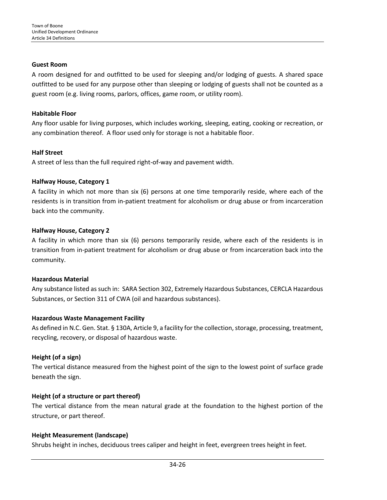#### **Guest Room**

A room designed for and outfitted to be used for sleeping and/or lodging of guests. A shared space outfitted to be used for any purpose other than sleeping or lodging of guests shall not be counted as a guest room (e.g. living rooms, parlors, offices, game room, or utility room).

## **Habitable Floor**

Any floor usable for living purposes, which includes working, sleeping, eating, cooking or recreation, or any combination thereof. A floor used only for storage is not a habitable floor.

## **Half Street**

A street of less than the full required right-of-way and pavement width.

## **Halfway House, Category 1**

A facility in which not more than six (6) persons at one time temporarily reside, where each of the residents is in transition from in-patient treatment for alcoholism or drug abuse or from incarceration back into the community.

## **Halfway House, Category 2**

A facility in which more than six (6) persons temporarily reside, where each of the residents is in transition from in-patient treatment for alcoholism or drug abuse or from incarceration back into the community.

#### **Hazardous Material**

Any substance listed as such in: SARA Section 302, Extremely Hazardous Substances, CERCLA Hazardous Substances, or Section 311 of CWA (oil and hazardous substances).

## **Hazardous Waste Management Facility**

As defined in N.C. Gen. Stat. § 130A, Article 9, a facility for the collection, storage, processing, treatment, recycling, recovery, or disposal of hazardous waste.

## **Height (of a sign)**

The vertical distance measured from the highest point of the sign to the lowest point of surface grade beneath the sign.

#### **Height (of a structure or part thereof)**

The vertical distance from the mean natural grade at the foundation to the highest portion of the structure, or part thereof.

## **Height Measurement (landscape)**

Shrubs height in inches, deciduous trees caliper and height in feet, evergreen trees height in feet.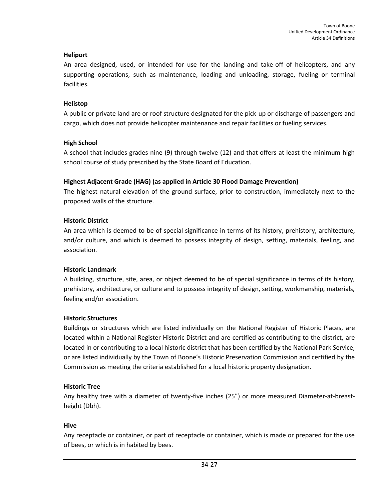#### **Heliport**

An area designed, used, or intended for use for the landing and take-off of helicopters, and any supporting operations, such as maintenance, loading and unloading, storage, fueling or terminal facilities.

## **Helistop**

A public or private land are or roof structure designated for the pick-up or discharge of passengers and cargo, which does not provide helicopter maintenance and repair facilities or fueling services.

## **High School**

A school that includes grades nine (9) through twelve (12) and that offers at least the minimum high school course of study prescribed by the State Board of Education.

## **Highest Adjacent Grade (HAG) (as applied in Article 30 Flood Damage Prevention)**

The highest natural elevation of the ground surface, prior to construction, immediately next to the proposed walls of the structure.

## **Historic District**

An area which is deemed to be of special significance in terms of its history, prehistory, architecture, and/or culture, and which is deemed to possess integrity of design, setting, materials, feeling, and association.

#### **Historic Landmark**

A building, structure, site, area, or object deemed to be of special significance in terms of its history, prehistory, architecture, or culture and to possess integrity of design, setting, workmanship, materials, feeling and/or association.

#### **Historic Structures**

Buildings or structures which are listed individually on the National Register of Historic Places, are located within a National Register Historic District and are certified as contributing to the district, are located in or contributing to a local historic district that has been certified by the National Park Service, or are listed individually by the Town of Boone's Historic Preservation Commission and certified by the Commission as meeting the criteria established for a local historic property designation.

#### **Historic Tree**

Any healthy tree with a diameter of twenty-five inches (25") or more measured Diameter-at-breastheight (Dbh).

#### **Hive**

Any receptacle or container, or part of receptacle or container, which is made or prepared for the use of bees, or which is in habited by bees.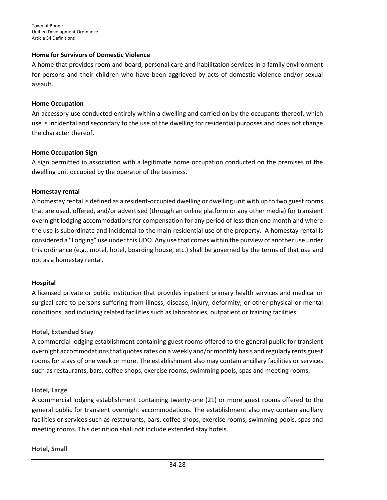#### **Home for Survivors of Domestic Violence**

A home that provides room and board, personal care and habilitation services in a family environment for persons and their children who have been aggrieved by acts of domestic violence and/or sexual assault.

#### **Home Occupation**

An accessory use conducted entirely within a dwelling and carried on by the occupants thereof, which use is incidental and secondary to the use of the dwelling for residential purposes and does not change the character thereof.

#### **Home Occupation Sign**

A sign permitted in association with a legitimate home occupation conducted on the premises of the dwelling unit occupied by the operator of the business.

#### **Homestay rental**

A homestay rental is defined as a resident-occupied dwelling or dwelling unit with up to two guest rooms that are used, offered, and/or advertised (through an online platform or any other media) for transient overnight lodging accommodations for compensation for any period of less than one month and where the use is subordinate and incidental to the main residential use of the property. A homestay rental is considered a "Lodging" use under this UDO. Any use that comes within the purview of another use under this ordinance (e.g., motel, hotel, boarding house, etc.) shall be governed by the terms of that use and not as a homestay rental.

#### **Hospital**

A licensed private or public institution that provides inpatient primary health services and medical or surgical care to persons suffering from illness, disease, injury, deformity, or other physical or mental conditions, and including related facilities such as laboratories, outpatient or training facilities.

#### **Hotel, Extended Stay**

A commercial lodging establishment containing guest rooms offered to the general public for transient overnight accommodations that quotes rates on a weekly and/or monthly basis and regularly rents guest rooms for stays of one week or more. The establishment also may contain ancillary facilities or services such as restaurants, bars, coffee shops, exercise rooms, swimming pools, spas and meeting rooms.

#### **Hotel, Large**

A commercial lodging establishment containing twenty-one (21) or more guest rooms offered to the general public for transient overnight accommodations. The establishment also may contain ancillary facilities or services such as restaurants, bars, coffee shops, exercise rooms, swimming pools, spas and meeting rooms. This definition shall not include extended stay hotels.

#### **Hotel, Small**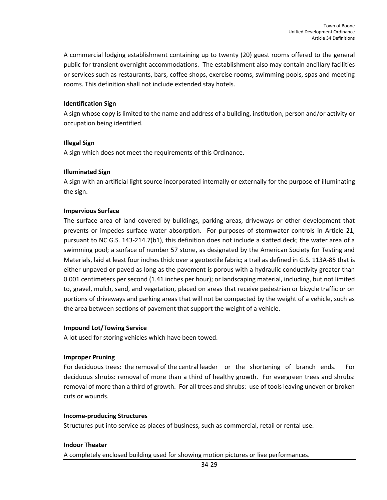A commercial lodging establishment containing up to twenty (20) guest rooms offered to the general public for transient overnight accommodations. The establishment also may contain ancillary facilities or services such as restaurants, bars, coffee shops, exercise rooms, swimming pools, spas and meeting rooms. This definition shall not include extended stay hotels.

#### **Identification Sign**

A sign whose copy is limited to the name and address of a building, institution, person and/or activity or occupation being identified.

#### **Illegal Sign**

A sign which does not meet the requirements of this Ordinance.

#### **Illuminated Sign**

A sign with an artificial light source incorporated internally or externally for the purpose of illuminating the sign.

#### **Impervious Surface**

The surface area of land covered by buildings, parking areas, driveways or other development that prevents or impedes surface water absorption. For purposes of stormwater controls in Article 21, pursuant to NC G.S. 143-214.7(b1), this definition does not include a slatted deck; the water area of a swimming pool; a surface of number 57 stone, as designated by the American Society for Testing and Materials, laid at least four inches thick over a geotextile fabric; a trail as defined in G.S. 113A-85 that is either unpaved or paved as long as the pavement is porous with a hydraulic conductivity greater than 0.001 centimeters per second (1.41 inches per hour); or landscaping material, including, but not limited to, gravel, mulch, sand, and vegetation, placed on areas that receive pedestrian or bicycle traffic or on portions of driveways and parking areas that will not be compacted by the weight of a vehicle, such as the area between sections of pavement that support the weight of a vehicle.

#### **Impound Lot/Towing Service**

A lot used for storing vehicles which have been towed.

#### **Improper Pruning**

For deciduous trees: the removal of the central leader or the shortening of branch ends. For deciduous shrubs: removal of more than a third of healthy growth. For evergreen trees and shrubs: removal of more than a third of growth. For all trees and shrubs: use of tools leaving uneven or broken cuts or wounds.

#### **Income-producing Structures**

Structures put into service as places of business, such as commercial, retail or rental use.

#### **Indoor Theater**

A completely enclosed building used for showing motion pictures or live performances.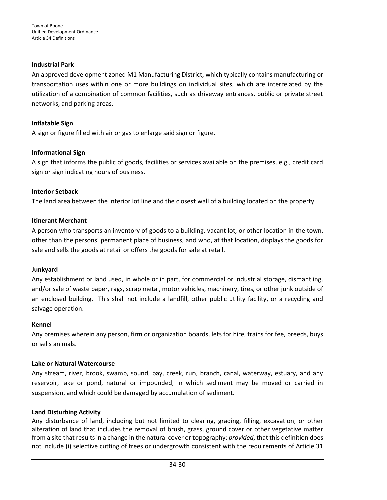#### **Industrial Park**

An approved development zoned M1 Manufacturing District, which typically contains manufacturing or transportation uses within one or more buildings on individual sites, which are interrelated by the utilization of a combination of common facilities, such as driveway entrances, public or private street networks, and parking areas.

## **Inflatable Sign**

A sign or figure filled with air or gas to enlarge said sign or figure.

## **Informational Sign**

A sign that informs the public of goods, facilities or services available on the premises, e.g., credit card sign or sign indicating hours of business.

#### **Interior Setback**

The land area between the interior lot line and the closest wall of a building located on the property.

## **Itinerant Merchant**

A person who transports an inventory of goods to a building, vacant lot, or other location in the town, other than the persons' permanent place of business, and who, at that location, displays the goods for sale and sells the goods at retail or offers the goods for sale at retail.

#### **Junkyard**

Any establishment or land used, in whole or in part, for commercial or industrial storage, dismantling, and/or sale of waste paper, rags, scrap metal, motor vehicles, machinery, tires, or other junk outside of an enclosed building. This shall not include a landfill, other public utility facility, or a recycling and salvage operation.

#### **Kennel**

Any premises wherein any person, firm or organization boards, lets for hire, trains for fee, breeds, buys or sells animals.

#### **Lake or Natural Watercourse**

Any stream, river, brook, swamp, sound, bay, creek, run, branch, canal, waterway, estuary, and any reservoir, lake or pond, natural or impounded, in which sediment may be moved or carried in suspension, and which could be damaged by accumulation of sediment.

#### **Land Disturbing Activity**

Any disturbance of land, including but not limited to clearing, grading, filling, excavation, or other alteration of land that includes the removal of brush, grass, ground cover or other vegetative matter from a site that results in a change in the natural cover or topography; *provided*, that this definition does not include (i) selective cutting of trees or undergrowth consistent with the requirements of Article 31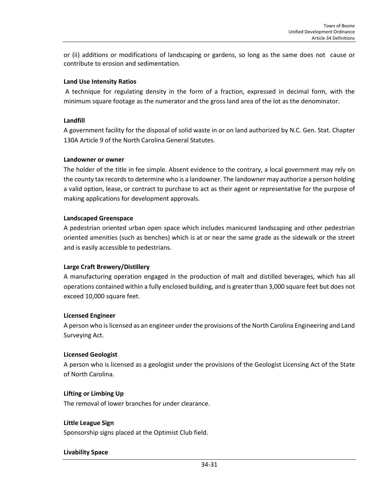or (ii) additions or modifications of landscaping or gardens, so long as the same does not cause or contribute to erosion and sedimentation.

## **Land Use Intensity Ratios**

A technique for regulating density in the form of a fraction, expressed in decimal form, with the minimum square footage as the numerator and the gross land area of the lot as the denominator.

#### **Landfill**

A government facility for the disposal of solid waste in or on land authorized by N.C. Gen. Stat. Chapter 130A Article 9 of the North Carolina General Statutes.

#### **Landowner or owner**

The holder of the title in fee simple. Absent evidence to the contrary, a local government may rely on the county tax records to determine who is a landowner. The landowner may authorize a person holding a valid option, lease, or contract to purchase to act as their agent or representative for the purpose of making applications for development approvals.

## **Landscaped Greenspace**

A pedestrian oriented urban open space which includes manicured landscaping and other pedestrian oriented amenities (such as benches) which is at or near the same grade as the sidewalk or the street and is easily accessible to pedestrians.

## **Large Craft Brewery/Distillery**

A manufacturing operation engaged in the production of malt and distilled beverages, which has all operations contained within a fully enclosed building, and is greater than 3,000 square feet but does not exceed 10,000 square feet.

#### **Licensed Engineer**

A person who is licensed as an engineer under the provisions of the North Carolina Engineering and Land Surveying Act.

#### **Licensed Geologist**

A person who is licensed as a geologist under the provisions of the Geologist Licensing Act of the State of North Carolina.

#### **Lifting or Limbing Up**

The removal of lower branches for under clearance.

#### **Little League Sign**

Sponsorship signs placed at the Optimist Club field.

#### **Livability Space**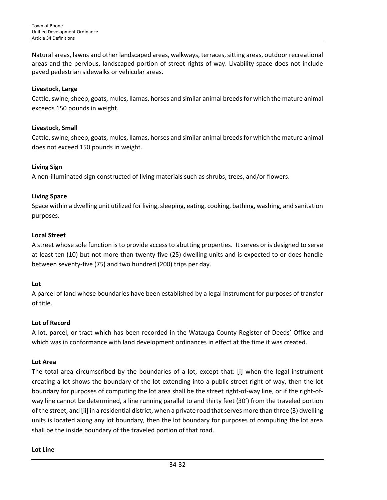Natural areas, lawns and other landscaped areas, walkways, terraces, sitting areas, outdoor recreational areas and the pervious, landscaped portion of street rights-of-way. Livability space does not include paved pedestrian sidewalks or vehicular areas.

## **Livestock, Large**

Cattle, swine, sheep, goats, mules, llamas, horses and similar animal breeds for which the mature animal exceeds 150 pounds in weight.

## **Livestock, Small**

Cattle, swine, sheep, goats, mules, llamas, horses and similar animal breeds for which the mature animal does not exceed 150 pounds in weight.

## **Living Sign**

A non-illuminated sign constructed of living materials such as shrubs, trees, and/or flowers.

## **Living Space**

Space within a dwelling unit utilized for living, sleeping, eating, cooking, bathing, washing, and sanitation purposes.

## **Local Street**

A street whose sole function is to provide access to abutting properties. It serves or is designed to serve at least ten (10) but not more than twenty-five (25) dwelling units and is expected to or does handle between seventy-five (75) and two hundred (200) trips per day.

#### **Lot**

A parcel of land whose boundaries have been established by a legal instrument for purposes of transfer of title.

#### **Lot of Record**

A lot, parcel, or tract which has been recorded in the Watauga County Register of Deeds' Office and which was in conformance with land development ordinances in effect at the time it was created.

#### **Lot Area**

The total area circumscribed by the boundaries of a lot, except that: [i] when the legal instrument creating a lot shows the boundary of the lot extending into a public street right-of-way, then the lot boundary for purposes of computing the lot area shall be the street right-of-way line, or if the right-ofway line cannot be determined, a line running parallel to and thirty feet (30') from the traveled portion of the street, and [ii] in a residential district, when a private road that serves more than three (3) dwelling units is located along any lot boundary, then the lot boundary for purposes of computing the lot area shall be the inside boundary of the traveled portion of that road.

#### **Lot Line**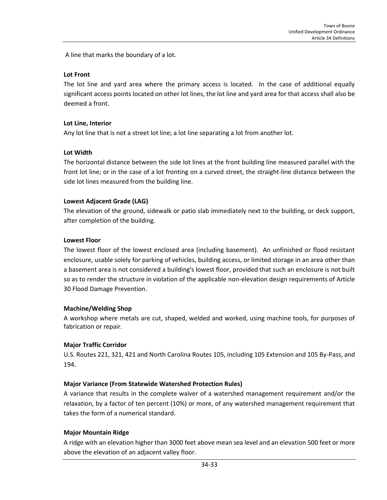A line that marks the boundary of a lot.

#### **Lot Front**

The lot line and yard area where the primary access is located. In the case of additional equally significant access points located on other lot lines, the lot line and yard area for that access shall also be deemed a front.

#### **Lot Line, Interior**

Any lot line that is not a street lot line; a lot line separating a lot from another lot.

#### **Lot Width**

The horizontal distance between the side lot lines at the front building line measured parallel with the front lot line; or in the case of a lot fronting on a curved street, the straight-line distance between the side lot lines measured from the building line.

#### **Lowest Adjacent Grade (LAG)**

The elevation of the ground, sidewalk or patio slab immediately next to the building, or deck support, after completion of the building.

#### **Lowest Floor**

The lowest floor of the lowest enclosed area (including basement). An unfinished or flood resistant enclosure, usable solely for parking of vehicles, building access, or limited storage in an area other than a basement area is not considered a building's lowest floor, provided that such an enclosure is not built so as to render the structure in violation of the applicable non-elevation design requirements of Article 30 Flood Damage Prevention.

#### **Machine/Welding Shop**

A workshop where metals are cut, shaped, welded and worked, using machine tools, for purposes of fabrication or repair.

#### **Major Traffic Corridor**

U.S. Routes 221, 321, 421 and North Carolina Routes 105, including 105 Extension and 105 By-Pass, and 194.

#### **Major Variance (From Statewide Watershed Protection Rules)**

A variance that results in the complete waiver of a watershed management requirement and/or the relaxation, by a factor of ten percent (10%) or more, of any watershed management requirement that takes the form of a numerical standard.

#### **Major Mountain Ridge**

A ridge with an elevation higher than 3000 feet above mean sea level and an elevation 500 feet or more above the elevation of an adjacent valley floor.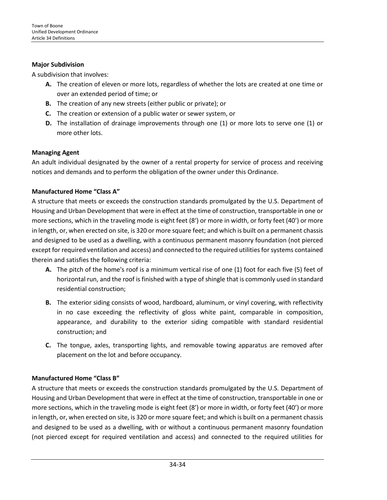## **Major Subdivision**

A subdivision that involves:

- **A.** The creation of eleven or more lots, regardless of whether the lots are created at one time or over an extended period of time; or
- **B.** The creation of any new streets (either public or private); or
- **C.** The creation or extension of a public water or sewer system, or
- **D.** The installation of drainage improvements through one (1) or more lots to serve one (1) or more other lots.

## **Managing Agent**

An adult individual designated by the owner of a rental property for service of process and receiving notices and demands and to perform the obligation of the owner under this Ordinance.

## **Manufactured Home "Class A"**

A structure that meets or exceeds the construction standards promulgated by the U.S. Department of Housing and Urban Development that were in effect at the time of construction, transportable in one or more sections, which in the traveling mode is eight feet (8') or more in width, or forty feet (40') or more in length, or, when erected on site, is 320 or more square feet; and which is built on a permanent chassis and designed to be used as a dwelling, with a continuous permanent masonry foundation (not pierced except for required ventilation and access) and connected to the required utilities for systems contained therein and satisfies the following criteria:

- **A.** The pitch of the home's roof is a minimum vertical rise of one (1) foot for each five (5) feet of horizontal run, and the roof is finished with a type of shingle that is commonly used in standard residential construction;
- **B.** The exterior siding consists of wood, hardboard, aluminum, or vinyl covering, with reflectivity in no case exceeding the reflectivity of gloss white paint, comparable in composition, appearance, and durability to the exterior siding compatible with standard residential construction; and
- **C.** The tongue, axles, transporting lights, and removable towing apparatus are removed after placement on the lot and before occupancy.

## **Manufactured Home "Class B"**

A structure that meets or exceeds the construction standards promulgated by the U.S. Department of Housing and Urban Development that were in effect at the time of construction, transportable in one or more sections, which in the traveling mode is eight feet (8') or more in width, or forty feet (40') or more in length, or, when erected on site, is 320 or more square feet; and which is built on a permanent chassis and designed to be used as a dwelling, with or without a continuous permanent masonry foundation (not pierced except for required ventilation and access) and connected to the required utilities for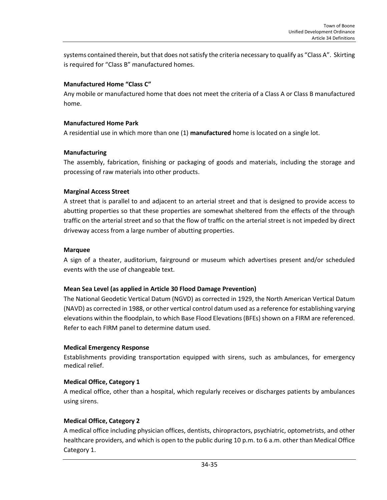systems contained therein, but that does not satisfy the criteria necessary to qualify as "Class A". Skirting is required for "Class B" manufactured homes.

## **Manufactured Home "Class C"**

Any mobile or manufactured home that does not meet the criteria of a Class A or Class B manufactured home.

#### **Manufactured Home Park**

A residential use in which more than one (1) **manufactured** home is located on a single lot.

## **Manufacturing**

The assembly, fabrication, finishing or packaging of goods and materials, including the storage and processing of raw materials into other products.

## **Marginal Access Street**

A street that is parallel to and adjacent to an arterial street and that is designed to provide access to abutting properties so that these properties are somewhat sheltered from the effects of the through traffic on the arterial street and so that the flow of traffic on the arterial street is not impeded by direct driveway access from a large number of abutting properties.

#### **Marquee**

A sign of a theater, auditorium, fairground or museum which advertises present and/or scheduled events with the use of changeable text.

#### **Mean Sea Level (as applied in Article 30 Flood Damage Prevention)**

The National Geodetic Vertical Datum (NGVD) as corrected in 1929, the North American Vertical Datum (NAVD) as corrected in 1988, or other vertical control datum used as a reference for establishing varying elevations within the floodplain, to which Base Flood Elevations (BFEs) shown on a FIRM are referenced. Refer to each FIRM panel to determine datum used.

#### **Medical Emergency Response**

Establishments providing transportation equipped with sirens, such as ambulances, for emergency medical relief.

## **Medical Office, Category 1**

A medical office, other than a hospital, which regularly receives or discharges patients by ambulances using sirens.

#### **Medical Office, Category 2**

A medical office including physician offices, dentists, chiropractors, psychiatric, optometrists, and other healthcare providers, and which is open to the public during 10 p.m. to 6 a.m. other than Medical Office Category 1.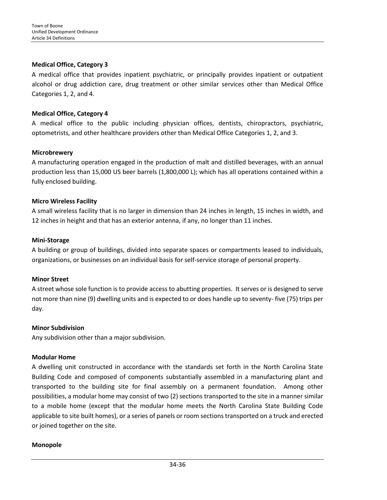## **Medical Office, Category 3**

A medical office that provides inpatient psychiatric, or principally provides inpatient or outpatient alcohol or drug addiction care, drug treatment or other similar services other than Medical Office Categories 1, 2, and 4.

## **Medical Office, Category 4**

A medical office to the public including physician offices, dentists, chiropractors, psychiatric, optometrists, and other healthcare providers other than Medical Office Categories 1, 2, and 3.

## **Microbrewery**

A manufacturing operation engaged in the production of malt and distilled beverages, with an annual production less than 15,000 US beer barrels (1,800,000 L); which has all operations contained within a fully enclosed building.

## **Micro Wireless Facility**

A small wireless facility that is no larger in dimension than 24 inches in length, 15 inches in width, and 12 inches in height and that has an exterior antenna, if any, no longer than 11 inches.

#### **Mini-Storage**

A building or group of buildings, divided into separate spaces or compartments leased to individuals, organizations, or businesses on an individual basis for self-service storage of personal property.

#### **Minor Street**

A street whose sole function is to provide access to abutting properties. It serves or is designed to serve not more than nine (9) dwelling units and is expected to or does handle up to seventy- five (75) trips per day.

#### **Minor Subdivision**

Any subdivision other than a major subdivision.

#### **Modular Home**

A dwelling unit constructed in accordance with the standards set forth in the North Carolina State Building Code and composed of components substantially assembled in a manufacturing plant and transported to the building site for final assembly on a permanent foundation. Among other possibilities, a modular home may consist of two (2) sections transported to the site in a manner similar to a mobile home (except that the modular home meets the North Carolina State Building Code applicable to site built homes), or a series of panels or room sections transported on a truck and erected or joined together on the site.

#### **Monopole**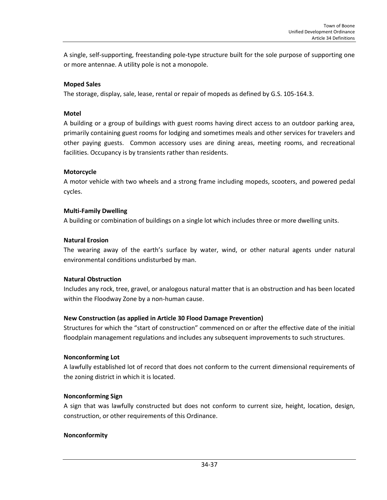A single, self-supporting, freestanding pole-type structure built for the sole purpose of supporting one or more antennae. A utility pole is not a monopole.

## **Moped Sales**

The storage, display, sale, lease, rental or repair of mopeds as defined by G.S. 105-164.3.

## **Motel**

A building or a group of buildings with guest rooms having direct access to an outdoor parking area, primarily containing guest rooms for lodging and sometimes meals and other services for travelers and other paying guests. Common accessory uses are dining areas, meeting rooms, and recreational facilities. Occupancy is by transients rather than residents.

## **Motorcycle**

A motor vehicle with two wheels and a strong frame including mopeds, scooters, and powered pedal cycles.

#### **Multi-Family Dwelling**

A building or combination of buildings on a single lot which includes three or more dwelling units.

#### **Natural Erosion**

The wearing away of the earth's surface by water, wind, or other natural agents under natural environmental conditions undisturbed by man.

#### **Natural Obstruction**

Includes any rock, tree, gravel, or analogous natural matter that is an obstruction and has been located within the Floodway Zone by a non-human cause.

#### **New Construction (as applied in Article 30 Flood Damage Prevention)**

Structures for which the "start of construction" commenced on or after the effective date of the initial floodplain management regulations and includes any subsequent improvements to such structures.

#### **Nonconforming Lot**

A lawfully established lot of record that does not conform to the current dimensional requirements of the zoning district in which it is located.

#### **Nonconforming Sign**

A sign that was lawfully constructed but does not conform to current size, height, location, design, construction, or other requirements of this Ordinance.

#### **Nonconformity**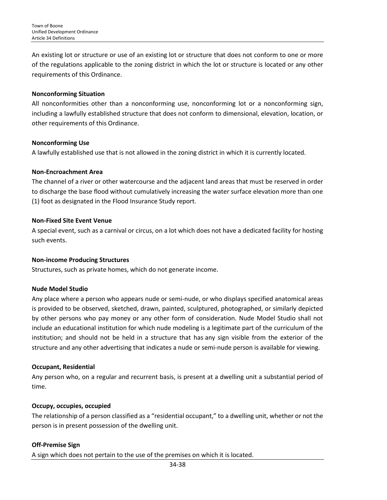An existing lot or structure or use of an existing lot or structure that does not conform to one or more of the regulations applicable to the zoning district in which the lot or structure is located or any other requirements of this Ordinance.

#### **Nonconforming Situation**

All nonconformities other than a nonconforming use, nonconforming lot or a nonconforming sign, including a lawfully established structure that does not conform to dimensional, elevation, location, or other requirements of this Ordinance.

## **Nonconforming Use**

A lawfully established [use](http://www.zoningplus.com/regs/greensboro/codetext.aspx?mode=2&xRef=1&index=893) that is not allowed in the zoning district in which it is currently located.

## **Non-Encroachment Area**

The channel of a river or other watercourse and the adjacent land areas that must be reserved in order to discharge the base flood without cumulatively increasing the water surface elevation more than one (1) foot as designated in the Flood Insurance Study report.

## **Non-Fixed Site Event Venue**

A special event, such as a carnival or circus, on a lot which does not have a dedicated facility for hosting such events.

#### **Non-income Producing Structures**

Structures, such as private homes, which do not generate income.

#### **Nude Model Studio**

Any place where a person who appears nude or semi-nude, or who displays specified anatomical areas is provided to be observed, sketched, drawn, painted, sculptured, photographed, or similarly depicted by other persons who pay money or any other form of consideration. Nude Model Studio shall not include an educational institution for which nude modeling is a legitimate part of the curriculum of the institution; and should not be held in a structure that has any sign visible from the exterior of the structure and any other advertising that indicates a nude or semi-nude person is available for viewing.

#### **Occupant, Residential**

Any person who, on a regular and recurrent basis, is present at a dwelling unit a substantial period of time.

#### **Occupy, occupies, occupied**

The relationship of a person classified as a "residential occupant," to a dwelling unit, whether or not the person is in present possession of the dwelling unit.

## **Off-Premise Sign**

A sign which does not pertain to the use of the premises on which it is located.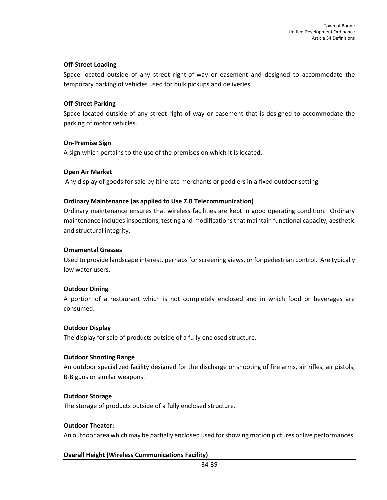## **Off-Street Loading**

Space located outside of any street right-of-way or easement and designed to accommodate the temporary parking of vehicles used for bulk pickups and deliveries.

#### **Off-Street Parking**

Space located outside of any street right-of-way or easement that is designed to accommodate the parking of motor vehicles.

#### **On-Premise Sign**

A sign which pertains to the use of the premises on which it is located.

#### **Open Air Market**

Any display of goods for sale by itinerate merchants or peddlers in a fixed outdoor setting.

## **Ordinary Maintenance (as applied to Use 7.0 Telecommunication)**

Ordinary maintenance ensures that wireless facilities are kept in good operating condition. Ordinary maintenance includes inspections, testing and modifications that maintain functional capacity, aesthetic and structural integrity.

#### **Ornamental Grasses**

Used to provide landscape interest, perhaps for screening views, or for pedestrian control. Are typically low water users.

#### **Outdoor Dining**

A portion of a restaurant which is not completely enclosed and in which food or beverages are consumed.

#### **Outdoor Display**

The display for sale of products outside of a fully enclosed structure.

#### **Outdoor Shooting Range**

An outdoor specialized facility designed for the discharge or shooting of fire arms, air rifles, air pistols, B-B guns or similar weapons.

#### **Outdoor Storage**

The storage of products outside of a fully enclosed structure.

#### **Outdoor Theater:**

An outdoor area which may be partially enclosed used for showing motion pictures or live performances.

## **Overall Height (Wireless Communications Facility)**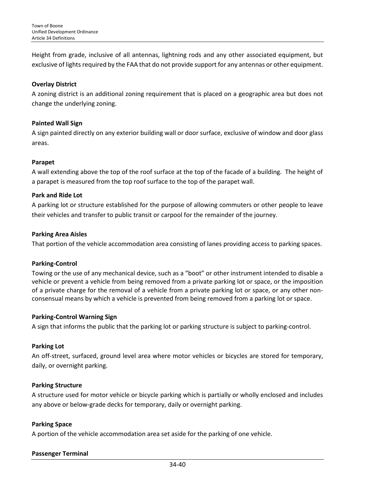Height from grade, inclusive of all antennas, lightning rods and any other associated equipment, but exclusive of lights required by the FAA that do not provide support for any antennas or other equipment.

## **Overlay District**

A zoning district is an additional zoning requirement that is placed on a geographic area but does not change the underlying zoning.

#### **Painted Wall Sign**

A sign painted directly on any exterior building wall or door surface, exclusive of window and door glass areas.

#### **Parapet**

A wall extending above the top of the roof surface at the top of the facade of a building. The height of a parapet is measured from the top roof surface to the top of the parapet wall.

## **Park and Ride Lot**

A parking lot or structure established for the purpose of allowing commuters or other people to leave their vehicles and transfer to public transit or [carpool](http://en.wikipedia.org/wiki/Carpool) for the remainder of the journey.

## **Parking Area Aisles**

That portion of the vehicle accommodation area consisting of lanes providing access to parking spaces.

#### **Parking-Control**

Towing or the use of any mechanical device, such as a "boot" or other instrument intended to disable a vehicle or prevent a vehicle from being removed from a private parking lot or space, or the imposition of a private charge for the removal of a vehicle from a private parking lot or space, or any other nonconsensual means by which a vehicle is prevented from being removed from a parking lot or space.

## **Parking-Control Warning Sign**

A sign that informs the public that the parking lot or parking structure is subject to parking-control.

#### **Parking Lot**

An off-street, surfaced, ground level area where motor vehicles or bicycles are stored for temporary, daily, or overnight parking.

## **Parking Structure**

A structure used for motor vehicle or bicycle parking which is partially or wholly enclosed and includes any above or below-grade decks for temporary, daily or overnight parking.

#### **Parking Space**

A portion of the vehicle accommodation area set aside for the parking of one vehicle.

## **Passenger Terminal**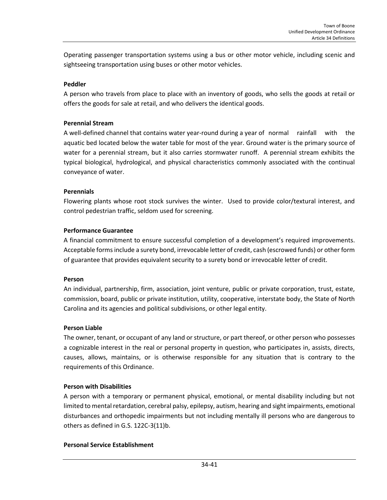Operating passenger transportation systems using a bus or other motor vehicle, including scenic and sightseeing transportation using buses or other motor vehicles.

## **Peddler**

A person who travels from place to place with an inventory of goods, who sells the goods at retail or offers the goods for sale at retail, and who delivers the identical goods.

## **Perennial Stream**

A well-defined channel that contains water year-round during a year of normal rainfall with the aquatic bed located below the water table for most of the year. Ground water is the primary source of water for a perennial stream, but it also carries stormwater runoff. A perennial stream exhibits the typical biological, hydrological, and physical characteristics commonly associated with the continual conveyance of water.

## **Perennials**

Flowering plants whose root stock survives the winter. Used to provide color/textural interest, and control pedestrian traffic, seldom used for screening.

## **Performance Guarantee**

A financial commitment to ensure successful completion of a development's required improvements. Acceptable forms include a surety bond, irrevocable letter of credit, cash (escrowed funds) or other form of guarantee that provides equivalent security to a surety bond or irrevocable letter of credit.

#### **Person**

An individual, partnership, firm, association, joint venture, public or private corporation, trust, estate, commission, board, public or private institution, utility, cooperative, interstate body, the State of North Carolina and its agencies and political subdivisions, or other legal entity.

#### **Person Liable**

The owner, tenant, or occupant of any land or structure, or part thereof, or other person who possesses a cognizable interest in the real or personal property in question, who participates in, assists, directs, causes, allows, maintains, or is otherwise responsible for any situation that is contrary to the requirements of this Ordinance.

#### **Person with Disabilities**

A person with a temporary or permanent physical, emotional, or mental disability including but not limited to mental retardation, cerebral palsy, epilepsy, autism, hearing and sight impairments, emotional disturbances and orthopedic impairments but not including mentally ill persons who are dangerous to others as defined in G.S. 122C-3(11)b.

## **Personal Service Establishment**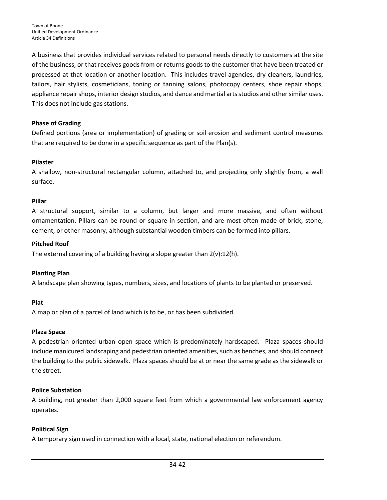A business that provides individual services related to personal needs directly to customers at the site of the business, or that receives goods from or returns goods to the customer that have been treated or processed at that location or another location. This includes travel agencies, dry-cleaners, laundries, tailors, hair stylists, cosmeticians, toning or tanning salons, photocopy centers, shoe repair shops, appliance repair shops, interior design studios, and dance and martial arts studios and other similar uses. This does not include gas stations.

## **Phase of Grading**

Defined portions (area or implementation) of grading or soil erosion and sediment control measures that are required to be done in a specific sequence as part of the Plan(s).

## **Pilaster**

A shallow, non-structural rectangular column, attached to, and projecting only slightly from, a wall surface.

#### **Pillar**

A structural support, similar to a column, but larger and more massive, and often without ornamentation. Pillars can be round or square in section, and are most often made of brick, stone, cement, or other masonry, although substantial wooden timbers can be formed into pillars.

## **Pitched Roof**

The external covering of a building having a slope greater than  $2(v):12(h)$ .

#### **Planting Plan**

A landscape plan showing types, numbers, sizes, and locations of plants to be planted or preserved.

#### **Plat**

A map or plan of a parcel of land which is to be, or has been subdivided.

## **Plaza Space**

A pedestrian oriented urban open space which is predominately hardscaped. Plaza spaces should include manicured landscaping and pedestrian oriented amenities, such as benches, and should connect the building to the public sidewalk. Plaza spaces should be at or near the same grade as the sidewalk or the street.

## **Police Substation**

A building, not greater than 2,000 square feet from which a governmental law enforcement agency operates.

## **Political Sign**

A temporary sign used in connection with a local, state, national election or referendum.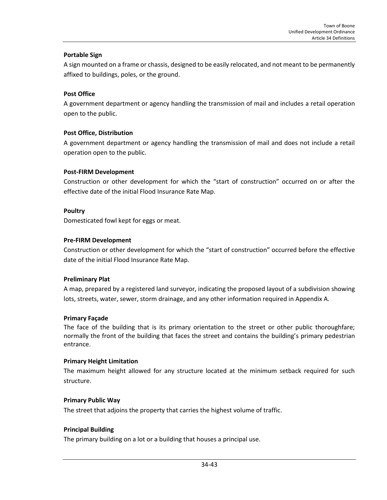#### **Portable Sign**

A sign mounted on a frame or chassis, designed to be easily relocated, and not meant to be permanently affixed to buildings, poles, or the ground.

#### **Post Office**

A government department or agency handling the transmission of mail and includes a retail operation open to the public.

## **Post Office, Distribution**

A government department or agency handling the transmission of mail and does not include a retail operation open to the public.

#### **Post-FIRM Development**

Construction or other development for which the "start of construction" occurred on or after the effective date of the initial Flood Insurance Rate Map.

#### **Poultry**

Domesticated fowl kept for eggs or meat.

## **Pre-FIRM Development**

Construction or other development for which the "start of construction" occurred before the effective date of the initial Flood Insurance Rate Map.

#### **Preliminary Plat**

A map, prepared by a registered land surveyor, indicating the proposed layout of a subdivision showing lots, streets, water, sewer, storm drainage, and any other information required in Appendix A.

#### **Primary Façade**

The face of the building that is its primary orientation to the street or other public thoroughfare; normally the front of the building that faces the street and contains the building's primary pedestrian entrance.

#### **Primary Height Limitation**

The maximum height allowed for any structure located at the minimum setback required for such structure.

#### **Primary Public Way**

The street that adjoins the property that carries the highest volume of traffic.

#### **Principal Building**

The primary building on a lot or a building that houses a principal use.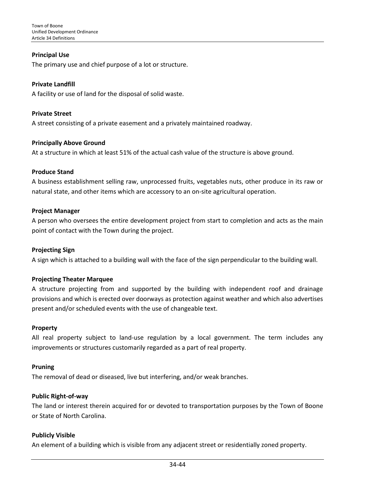#### **Principal Use**

The primary use and chief purpose of a lot or structure.

#### **Private Landfill**

A facility or use of land for the disposal of solid waste.

#### **Private Street**

A street consisting of a private easement and a privately maintained roadway.

#### **Principally Above Ground**

At a structure in which at least 51% of the actual cash value of the structure is above ground.

#### **Produce Stand**

A business establishment selling raw, unprocessed fruits, vegetables nuts, other produce in its raw or natural state, and other items which are accessory to an on-site agricultural operation.

#### **Project Manager**

A person who oversees the entire development project from start to completion and acts as the main point of contact with the Town during the project.

#### **Projecting Sign**

A sign which is attached to a building wall with the face of the sign perpendicular to the building wall.

#### **Projecting Theater Marquee**

A structure projecting from and supported by the building with independent roof and drainage provisions and which is erected over doorways as protection against weather and which also advertises present and/or scheduled events with the use of changeable text.

#### **Property**

All real property subject to land-use regulation by a local government. The term includes any improvements or structures customarily regarded as a part of real property.

#### **Pruning**

The removal of dead or diseased, live but interfering, and/or weak branches.

#### **Public Right-of-way**

The land or interest therein acquired for or devoted to transportation purposes by the Town of Boone or State of North Carolina.

#### **Publicly Visible**

An element of a building which is visible from any adjacent street or residentially zoned property.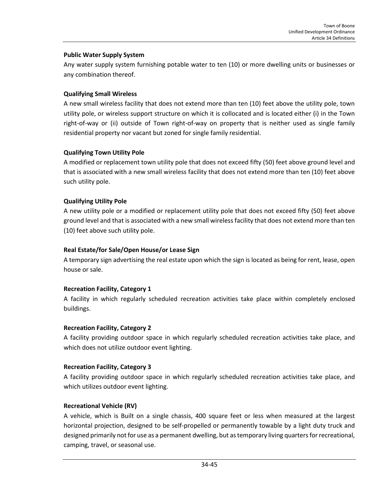#### **Public Water Supply System**

Any water supply system furnishing potable water to ten (10) or more dwelling units or businesses or any combination thereof.

## **Qualifying Small Wireless**

A new small wireless facility that does not extend more than ten (10) feet above the utility pole, town utility pole, or wireless support structure on which it is collocated and is located either (i) in the Town right-of-way or (ii) outside of Town right-of-way on property that is neither used as single family residential property nor vacant but zoned for single family residential.

## **Qualifying Town Utility Pole**

A modified or replacement town utility pole that does not exceed fifty (50) feet above ground level and that is associated with a new small wireless facility that does not extend more than ten (10) feet above such utility pole.

## **Qualifying Utility Pole**

A new utility pole or a modified or replacement utility pole that does not exceed fifty (50) feet above ground level and that is associated with a new small wireless facility that does not extend more than ten (10) feet above such utility pole.

#### **Real Estate/for Sale/Open House/or Lease Sign**

A temporary sign advertising the real estate upon which the sign is located as being for rent, lease, open house or sale.

#### **Recreation Facility, Category 1**

A facility in which regularly scheduled recreation activities take place within completely enclosed buildings.

#### **Recreation Facility, Category 2**

A facility providing outdoor space in which regularly scheduled recreation activities take place, and which does not utilize outdoor event lighting.

#### **Recreation Facility, Category 3**

A facility providing outdoor space in which regularly scheduled recreation activities take place, and which utilizes outdoor event lighting.

#### **Recreational Vehicle (RV)**

A vehicle, which is Built on a single chassis, 400 square feet or less when measured at the largest horizontal projection, designed to be self-propelled or permanently towable by a light duty truck and designed primarily not for use as a permanent dwelling, but as temporary living quarters for recreational, camping, travel, or seasonal use.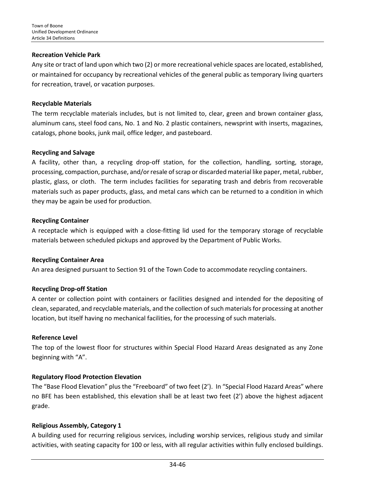#### **Recreation Vehicle Park**

Any site or tract of land upon which two (2) or more recreational vehicle spaces are located, established, or maintained for occupancy by recreational vehicles of the general public as temporary living quarters for recreation, travel, or vacation purposes.

#### **Recyclable Materials**

The term recyclable materials includes, but is not limited to, clear, green and brown container glass, aluminum cans, steel food cans, No. 1 and No. 2 plastic containers, newsprint with inserts, magazines, catalogs, phone books, junk mail, office ledger, and pasteboard.

#### **Recycling and Salvage**

A facility, other than, a recycling drop-off station, for the collection, handling, sorting, storage, processing, compaction, purchase, and/or resale of scrap or discarded material like paper, metal, rubber, plastic, glass, or cloth. The term includes facilities for separating trash and debris from recoverable materials such as paper products, glass, and metal cans which can be returned to a condition in which they may be again be used for production.

#### **Recycling Container**

A receptacle which is equipped with a close-fitting lid used for the temporary storage of recyclable materials between scheduled pickups and approved by the Department of Public Works.

#### **Recycling Container Area**

An area designed pursuant to Section 91 of the Town Code to accommodate recycling containers.

#### **Recycling Drop-off Station**

A center or collection point with containers or facilities designed and intended for the depositing of clean, separated, and recyclable materials, and the collection of such materials for processing at another location, but itself having no mechanical facilities, for the processing of such materials.

#### **Reference Level**

The top of the lowest floor for structures within Special Flood Hazard Areas designated as any Zone beginning with "A".

#### **Regulatory Flood Protection Elevation**

The "Base Flood Elevation" plus the "Freeboard" of two feet (2'). In "Special Flood Hazard Areas" where no BFE has been established, this elevation shall be at least two feet (2') above the highest adjacent grade.

#### **Religious Assembly, Category 1**

A building used for recurring religious services, including worship services, religious study and similar activities, with seating capacity for 100 or less, with all regular activities within fully enclosed buildings.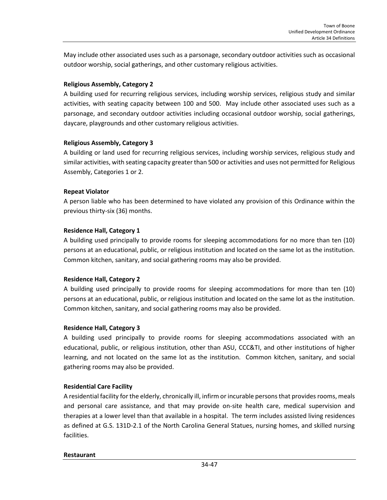May include other associated uses such as a parsonage, secondary outdoor activities such as occasional outdoor worship, social gatherings, and other customary religious activities.

#### **Religious Assembly, Category 2**

A building used for recurring religious services, including worship services, religious study and similar activities, with seating capacity between 100 and 500. May include other associated uses such as a parsonage, and secondary outdoor activities including occasional outdoor worship, social gatherings, daycare, playgrounds and other customary religious activities.

## **Religious Assembly, Category 3**

A building or land used for recurring religious services, including worship services, religious study and similar activities, with seating capacity greater than 500 or activities and uses not permitted for Religious Assembly, Categories 1 or 2.

## **Repeat Violator**

A person liable who has been determined to have violated any provision of this Ordinance within the previous thirty-six (36) months.

## **Residence Hall, Category 1**

A building used principally to provide rooms for sleeping accommodations for no more than ten (10) persons at an educational, public, or religious institution and located on the same lot as the institution. Common kitchen, sanitary, and social gathering rooms may also be provided.

## **Residence Hall, Category 2**

A building used principally to provide rooms for sleeping accommodations for more than ten (10) persons at an educational, public, or religious institution and located on the same lot as the institution. Common kitchen, sanitary, and social gathering rooms may also be provided.

## **Residence Hall, Category 3**

A building used principally to provide rooms for sleeping accommodations associated with an educational, public, or religious institution, other than ASU, CCC&TI, and other institutions of higher learning, and not located on the same lot as the institution. Common kitchen, sanitary, and social gathering rooms may also be provided.

## **Residential Care Facility**

A residential facility for the elderly, chronically ill, infirm or incurable persons that provides rooms, meals and personal care assistance, and that may provide on-site health care, medical supervision and therapies at a lower level than that available in a hospital. The term includes assisted living residences as defined at G.S. 131D-2.1 of the North Carolina General Statues, nursing homes, and skilled nursing facilities.

#### **Restaurant**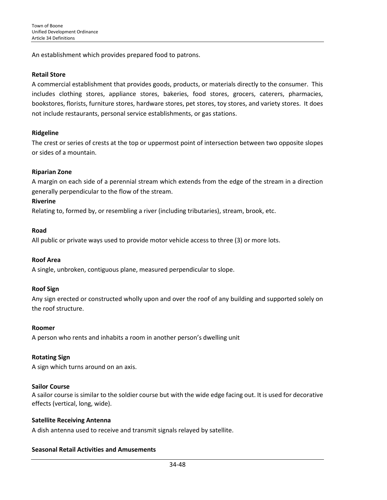An establishment which provides prepared food to patrons.

#### **Retail Store**

A commercial establishment that provides goods, products, or materials directly to the consumer. This includes clothing stores, appliance stores, bakeries, food stores, grocers, caterers, pharmacies, bookstores, florists, furniture stores, hardware stores, pet stores, toy stores, and variety stores. It does not include restaurants, personal service establishments, or gas stations.

## **Ridgeline**

The crest or series of crests at the top or uppermost point of intersection between two opposite slopes or sides of a mountain.

## **Riparian Zone**

A margin on each side of a perennial stream which extends from the edge of the stream in a direction generally perpendicular to the flow of the stream.

#### **Riverine**

Relating to, formed by, or resembling a river (including tributaries), stream, brook, etc.

#### **Road**

All public or private ways used to provide motor vehicle access to three (3) or more lots.

#### **Roof Area**

A single, unbroken, contiguous plane, measured perpendicular to slope.

#### **Roof Sign**

Any sign erected or constructed wholly upon and over the roof of any building and supported solely on the roof structure.

#### **Roomer**

A person who rents and inhabits a room in another person's dwelling unit

#### **Rotating Sign**

A sign which turns around on an axis.

#### **Sailor Course**

A sailor course is similar to the soldier course but with the wide edge facing out. It is used for decorative effects (vertical, long, wide).

#### **Satellite Receiving Antenna**

A dish antenna used to receive and transmit signals relayed by satellite.

#### **Seasonal Retail Activities and Amusements**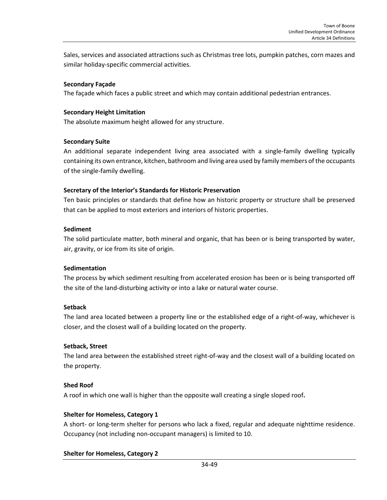Sales, services and associated attractions such as Christmas tree lots, pumpkin patches, corn mazes and similar holiday-specific commercial activities.

#### **Secondary Façade**

The façade which faces a public street and which may contain additional pedestrian entrances.

#### **Secondary Height Limitation**

The absolute maximum height allowed for any structure.

#### **Secondary Suite**

An additional separate independent living area associated with a single-family dwelling typically containing its own entrance, kitchen, bathroom and living area used by family members of the occupants of the single-family dwelling.

## **Secretary of the Interior's Standards for Historic Preservation**

Ten basic principles or standards that define how an historic property or structure shall be preserved that can be applied to most exteriors and interiors of historic properties.

## **Sediment**

The solid particulate matter, both mineral and organic, that has been or is being transported by water, air, gravity, or ice from its site of origin.

#### **Sedimentation**

The process by which sediment resulting from accelerated erosion has been or is being transported off the site of the land-disturbing activity or into a lake or natural water course.

#### **Setback**

The land area located between a property line or the established edge of a right-of-way, whichever is closer, and the closest wall of a building located on the property.

#### **Setback, Street**

The land area between the established street right-of-way and the closest wall of a building located on the property.

## **Shed Roof**

A roof in which one wall is higher than the opposite wall creating a single sloped roof**.**

#### **Shelter for Homeless, Category 1**

A short- or long-term shelter for persons who lack a fixed, regular and adequate nighttime residence. Occupancy (not including non-occupant managers) is limited to 10.

## **Shelter for Homeless, Category 2**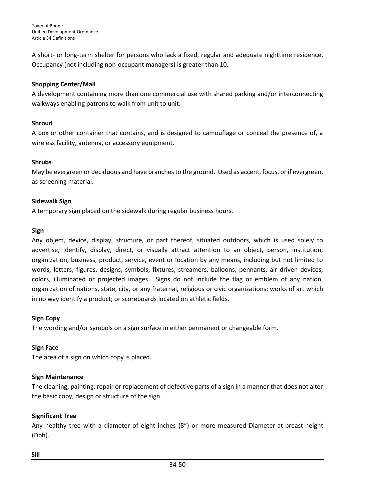A short- or long-term shelter for persons who lack a fixed, regular and adequate nighttime residence. Occupancy (not including non-occupant managers) is greater than 10.

## **Shopping Center/Mall**

A development containing more than one commercial use with shared parking and/or interconnecting walkways enabling patrons to walk from unit to unit.

## **Shroud**

A box or other container that contains, and is designed to camouflage or conceal the presence of, a wireless facility, antenna, or accessory equipment.

## **Shrubs**

May be evergreen or deciduous and have branches to the ground. Used as accent, focus, or if evergreen, as screening material.

## **Sidewalk Sign**

A temporary sign placed on the sidewalk during regular business hours.

## **Sign**

Any object, device, display, structure, or part thereof, situated outdoors, which is used solely to advertise, identify, display, direct, or visually attract attention to an object, person, institution, organization, business, product, service, event or location by any means, including but not limited to words, letters, figures, designs, symbols, fixtures, streamers, balloons, pennants, air driven devices, colors, illuminated or projected images. Signs do not include the flag or emblem of any nation, organization of nations, state, city, or any fraternal, religious or civic organizations; works of art which in no way identify a product; or scoreboards located on athletic fields.

## **Sign Copy**

The wording and/or symbols on a sign surface in either permanent or changeable form.

## **Sign Face**

The area of a sign on which copy is placed.

## **Sign Maintenance**

The cleaning, painting, repair or replacement of defective parts of a sign in a manner that does not alter the basic copy, design or structure of the sign.

## **Significant Tree**

Any healthy tree with a diameter of eight inches (8") or more measured Diameter-at-breast-height (Dbh).

#### **Sill**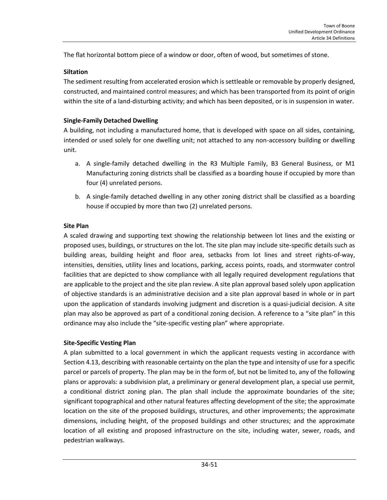The flat horizontal bottom piece of a window or door, often of wood, but sometimes of stone.

## **Siltation**

The sediment resulting from accelerated erosion which is settleable or removable by properly designed, constructed, and maintained control measures; and which has been transported from its point of origin within the site of a land-disturbing activity; and which has been deposited, or is in suspension in water.

## **Single-Family Detached Dwelling**

A building, not including a manufactured home, that is developed with space on all sides, containing, intended or used solely for one dwelling unit; not attached to any non-accessory building or dwelling unit.

- a. A single-family detached dwelling in the R3 Multiple Family, B3 General Business, or M1 Manufacturing zoning districts shall be classified as a boarding house if occupied by more than four (4) unrelated persons.
- b. A single-family detached dwelling in any other zoning district shall be classified as a boarding house if occupied by more than two (2) unrelated persons.

## **Site Plan**

A scaled drawing and supporting text showing the relationship between lot lines and the existing or proposed uses, buildings, or structures on the lot. The site plan may include site-specific details such as building areas, building height and floor area, setbacks from lot lines and street rights-of-way, intensities, densities, utility lines and locations, parking, access points, roads, and stormwater control facilities that are depicted to show compliance with all legally required development regulations that are applicable to the project and the site plan review. A site plan approval based solely upon application of objective standards is an administrative decision and a site plan approval based in whole or in part upon the application of standards involving judgment and discretion is a quasi-judicial decision. A site plan may also be approved as part of a conditional zoning decision. A reference to a "site plan" in this ordinance may also include the "site-specific vesting plan" where appropriate.

#### **Site-Specific Vesting Plan**

A plan submitted to a local government in which the applicant requests vesting in accordance with Section 4.13, describing with reasonable certainty on the plan the type and intensity of use for a specific parcel or parcels of property. The plan may be in the form of, but not be limited to, any of the following plans or approvals: a subdivision plat, a preliminary or general development plan, a special use permit, a conditional district zoning plan. The plan shall include the approximate boundaries of the site; significant topographical and other natural features affecting development of the site; the approximate location on the site of the proposed buildings, structures, and other improvements; the approximate dimensions, including height, of the proposed buildings and other structures; and the approximate location of all existing and proposed infrastructure on the site, including water, sewer, roads, and pedestrian walkways.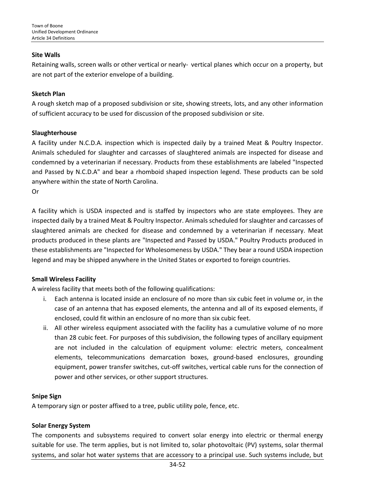#### **Site Walls**

Retaining walls, screen walls or other vertical or nearly- vertical planes which occur on a property, but are not part of the exterior envelope of a building.

#### **Sketch Plan**

A rough sketch map of a proposed subdivision or site, showing streets, lots, and any other information of sufficient accuracy to be used for discussion of the proposed subdivision or site.

#### **Slaughterhouse**

A facility under N.C.D.A. inspection which is inspected daily by a trained Meat & Poultry Inspector. Animals scheduled for slaughter and carcasses of slaughtered animals are inspected for disease and condemned by a veterinarian if necessary. Products from these establishments are labeled "Inspected and Passed by N.C.D.A" and bear a rhomboid shaped [inspection legend.](http://www.ncagr.gov/MeatPoultry/legend.htm) These products can be sold anywhere within the state of North Carolina. Or

A facility which is USDA inspected and is staffed by inspectors who are state employees. They are inspected daily by a trained Meat & Poultry Inspector. Animals scheduled for slaughter and carcasses of slaughtered animals are checked for disease and condemned by a veterinarian if necessary. Meat products produced in these plants are "Inspected and Passed by USDA." Poultry Products produced in these establishments are "Inspected for Wholesomeness by USDA." They bear a round [USDA inspection](http://www.ncagr.gov/MeatPoultry/legend.htm)  [legend](http://www.ncagr.gov/MeatPoultry/legend.htm) and may be shipped anywhere in the United States or exported to foreign countries.

#### **Small Wireless Facility**

A wireless facility that meets both of the following qualifications:

- i. Each antenna is located inside an enclosure of no more than six cubic feet in volume or, in the case of an antenna that has exposed elements, the antenna and all of its exposed elements, if enclosed, could fit within an enclosure of no more than six cubic feet.
- ii. All other wireless equipment associated with the facility has a cumulative volume of no more than 28 cubic feet. For purposes of this subdivision, the following types of ancillary equipment are not included in the calculation of equipment volume: electric meters, concealment elements, telecommunications demarcation boxes, ground-based enclosures, grounding equipment, power transfer switches, cut-off switches, vertical cable runs for the connection of power and other services, or other support structures.

#### **Snipe Sign**

A temporary sign or poster affixed to a tree, public utility pole, fence, etc.

#### **Solar Energy System**

The components and subsystems required to convert solar energy into electric or thermal energy suitable for use. The term applies, but is not limited to, solar photovoltaic (PV) systems, solar thermal systems, and solar hot water systems that are accessory to a principal use. Such systems include, but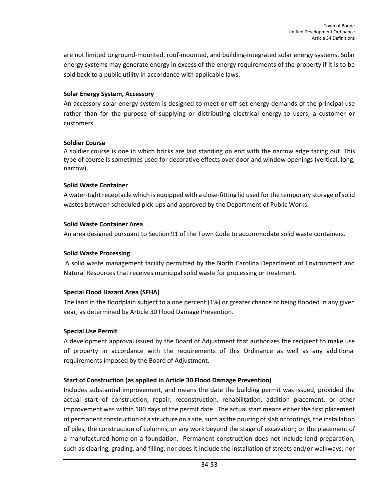are not limited to ground-mounted, roof-mounted, and building-integrated solar energy systems. Solar energy systems may generate energy in excess of the energy requirements of the property if it is to be sold back to a public utility in accordance with applicable laws.

#### **Solar Energy System, Accessory**

An accessory solar energy system is designed to meet or off-set energy demands of the principal use rather than for the purpose of supplying or distributing electrical energy to users, a customer or customers.

## **Soldier Course**

A soldier course is one in which bricks are laid standing on end with the narrow edge facing out. This type of course is sometimes used for decorative effects over door and window openings (vertical, long, narrow).

## **Solid Waste Container**

A water-tight receptacle which is equipped with a close-fitting lid used for the temporary storage of solid wastes between scheduled pick-ups and approved by the Department of Public Works.

## **Solid Waste Container Area**

An area designed pursuant to Section 91 of the Town Code to accommodate solid waste containers.

## **Solid Waste Processing**

A solid waste management facility permitted by the North Carolina Department of Environment and Natural Resources that receives municipal solid waste for processing or treatment.

## **Special Flood Hazard Area (SFHA)**

The land in the floodplain subject to a one percent (1%) or greater chance of being flooded in any given year, as determined by Article 30 Flood Damage Prevention.

#### **Special Use Permit**

A development approval issued by the Board of Adjustment that authorizes the recipient to make use of property in accordance with the requirements of this Ordinance as well as any additional requirements imposed by the Board of Adjustment.

## **Start of Construction (as applied in Article 30 Flood Damage Prevention)**

Includes substantial improvement, and means the date the building permit was issued, provided the actual start of construction, repair, reconstruction, rehabilitation, addition placement, or other improvement was within 180 days of the permit date. The actual start means either the first placement of permanent construction of a structure on a site, such as the pouring of slab or footings, the installation of piles, the construction of columns, or any work beyond the stage of excavation; or the placement of a manufactured home on a foundation. Permanent construction does not include land preparation, such as clearing, grading, and filling; nor does it include the installation of streets and/or walkways; nor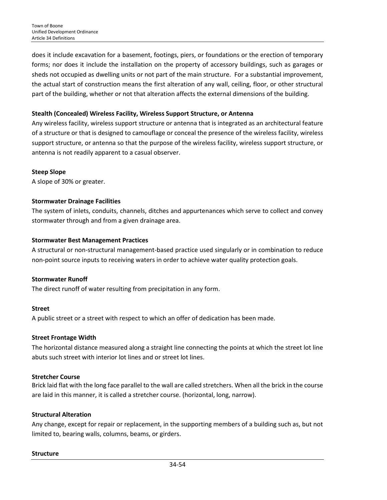does it include excavation for a basement, footings, piers, or foundations or the erection of temporary forms; nor does it include the installation on the property of accessory buildings, such as garages or sheds not occupied as dwelling units or not part of the main structure. For a substantial improvement, the actual start of construction means the first alteration of any wall, ceiling, floor, or other structural part of the building, whether or not that alteration affects the external dimensions of the building.

#### **Stealth (Concealed) Wireless Facility, Wireless Support Structure, or Antenna**

Any wireless facility, wireless support structure or antenna that is integrated as an architectural feature of a structure or that is designed to camouflage or conceal the presence of the wireless facility, wireless support structure, or antenna so that the purpose of the wireless facility, wireless support structure, or antenna is not readily apparent to a casual observer.

## **Steep Slope**

A slope of 30% or greater.

## **Stormwater Drainage Facilities**

The system of inlets, conduits, channels, ditches and appurtenances which serve to collect and convey stormwater through and from a given drainage area.

## **Stormwater Best Management Practices**

A structural or non-structural management-based practice used singularly or in combination to reduce non-point source inputs to receiving waters in order to achieve water quality protection goals.

## **Stormwater Runoff**

The direct runoff of water resulting from precipitation in any form.

## **Street**

A public street or a street with respect to which an offer of dedication has been made.

#### **Street Frontage Width**

The horizontal distance measured along a straight line connecting the points at which the street lot line abuts such street with interior lot lines and or street lot lines.

#### **Stretcher Course**

Brick laid flat with the long face parallel to the wall are called stretchers. When all the brick in the course are laid in this manner, it is called a stretcher course. (horizontal, long, narrow).

#### **Structural Alteration**

Any change, except for repair or replacement, in the supporting members of a building such as, but not limited to, bearing walls, columns, beams, or girders.

#### **Structure**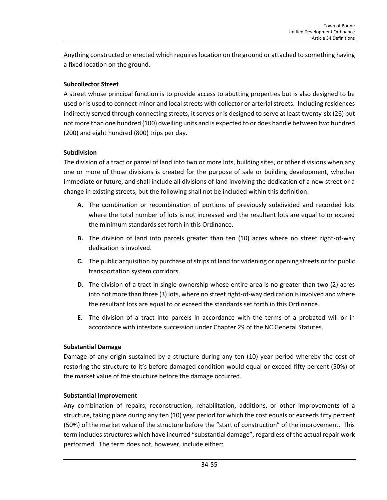Anything constructed or erected which requires location on the ground or attached to something having a fixed location on the ground.

## **Subcollector Street**

A street whose principal function is to provide access to abutting properties but is also designed to be used or is used to connect minor and local streets with collector or arterial streets. Including residences indirectly served through connecting streets, it serves or is designed to serve at least twenty-six (26) but not more than one hundred (100) dwelling units and is expected to or does handle between two hundred (200) and eight hundred (800) trips per day.

## **Subdivision**

The division of a tract or parcel of land into two or more lots, building sites, or other divisions when any one or more of those divisions is created for the purpose of sale or building development, whether immediate or future, and shall include all divisions of land involving the dedication of a new street or a change in existing streets; but the following shall not be included within this definition:

- **A.** The combination or recombination of portions of previously subdivided and recorded lots where the total number of lots is not increased and the resultant lots are equal to or exceed the minimum standards set forth in this Ordinance.
- **B.** The division of land into parcels greater than ten (10) acres where no street right-of-way dedication is involved.
- **C.** The public acquisition by purchase of strips of land for widening or opening streets or for public transportation system corridors.
- **D.** The division of a tract in single ownership whose entire area is no greater than two (2) acres into not more than three (3) lots, where no street right-of-way dedication is involved and where the resultant lots are equal to or exceed the standards set forth in this Ordinance.
- **E.** The division of a tract into parcels in accordance with the terms of a probated will or in accordance with intestate succession under Chapter 29 of the NC General Statutes.

## **Substantial Damage**

Damage of any origin sustained by a structure during any ten (10) year period whereby the cost of restoring the structure to it's before damaged condition would equal or exceed fifty percent (50%) of the market value of the structure before the damage occurred.

## **Substantial Improvement**

Any combination of repairs, reconstruction, rehabilitation, additions, or other improvements of a structure, taking place during any ten (10) year period for which the cost equals or exceeds fifty percent (50%) of the market value of the structure before the "start of construction" of the improvement. This term includes structures which have incurred "substantial damage", regardless of the actual repair work performed. The term does not, however, include either: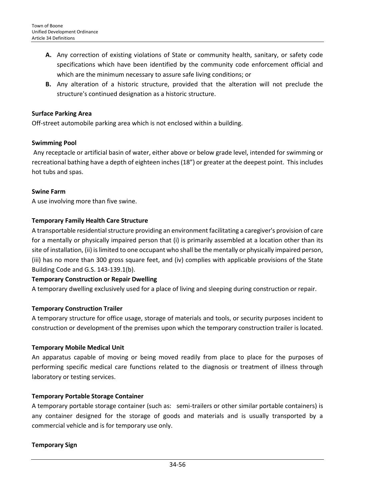- **A.** Any correction of existing violations of State or community health, sanitary, or safety code specifications which have been identified by the community code enforcement official and which are the minimum necessary to assure safe living conditions; or
- **B.** Any alteration of a historic structure, provided that the alteration will not preclude the structure's continued designation as a historic structure.

## **Surface Parking Area**

Off-street automobile parking area which is not enclosed within a building.

## **Swimming Pool**

Any receptacle or artificial basin of water, either above or below grade level, intended for swimming or recreational bathing have a depth of eighteen inches (18") or greater at the deepest point. This includes hot tubs and spas.

## **Swine Farm**

A use involving more than five swine.

## **Temporary Family Health Care Structure**

A transportable residential structure providing an environment facilitating a caregiver's provision of care for a mentally or physically impaired person that (i) is primarily assembled at a location other than its site of installation, (ii) is limited to one occupant who shall be the mentally or physically impaired person, (iii) has no more than 300 gross square feet, and (iv) complies with applicable provisions of the State Building Code and G.S. 143-139.1(b).

#### **Temporary Construction or Repair Dwelling**

A temporary dwelling exclusively used for a place of living and sleeping during construction or repair.

## **Temporary Construction Trailer**

A temporary structure for office usage, storage of materials and tools, or security purposes incident to construction or development of the premises upon which the temporary construction trailer is located.

#### **Temporary Mobile Medical Unit**

An apparatus capable of moving or being moved readily from place to place for the purposes of performing specific medical care functions related to the diagnosis or treatment of illness through laboratory or testing services.

#### **Temporary Portable Storage Container**

A temporary portable storage container (such as: semi-trailers or other similar portable containers) is any container designed for the storage of goods and materials and is usually transported by a commercial vehicle and is for temporary use only.

#### **Temporary Sign**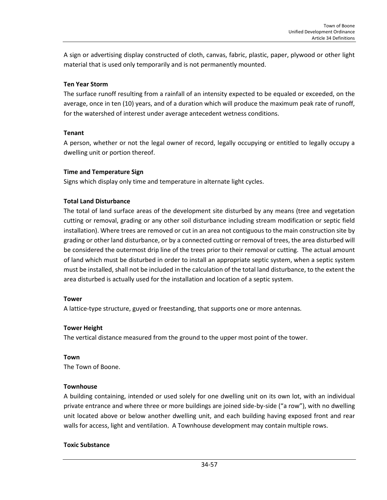A sign or advertising display constructed of cloth, canvas, fabric, plastic, paper, plywood or other light material that is used only temporarily and is not permanently mounted.

## **Ten Year Storm**

The surface runoff resulting from a rainfall of an intensity expected to be equaled or exceeded, on the average, once in ten (10) years, and of a duration which will produce the maximum peak rate of runoff, for the watershed of interest under average antecedent wetness conditions.

## **Tenant**

A person, whether or not the legal owner of record, legally occupying or entitled to legally occupy a dwelling unit or portion thereof.

## **Time and Temperature Sign**

Signs which display only time and temperature in alternate light cycles.

## **Total Land Disturbance**

The total of land surface areas of the development site disturbed by any means (tree and vegetation cutting or removal, grading or any other soil disturbance including stream modification or septic field installation). Where trees are removed or cut in an area not contiguous to the main construction site by grading or other land disturbance, or by a connected cutting or removal of trees, the area disturbed will be considered the outermost drip line of the trees prior to their removal or cutting. The actual amount of land which must be disturbed in order to install an appropriate septic system, when a septic system must be installed, shall not be included in the calculation of the total land disturbance, to the extent the area disturbed is actually used for the installation and location of a septic system.

#### **Tower**

A lattice-type structure, guyed or freestanding, that supports one or more antennas*.*

#### **Tower Height**

The vertical distance measured from the ground to the upper most point of the tower.

**Town** The Town of Boone.

## **Townhouse**

A building containing, intended or used solely for one dwelling unit on its own lot, with an individual private entrance and where three or more buildings are joined side-by-side ("a row"), with no dwelling unit located above or below another dwelling unit, and each building having exposed front and rear walls for access, light and ventilation. A Townhouse development may contain multiple rows.

#### **Toxic Substance**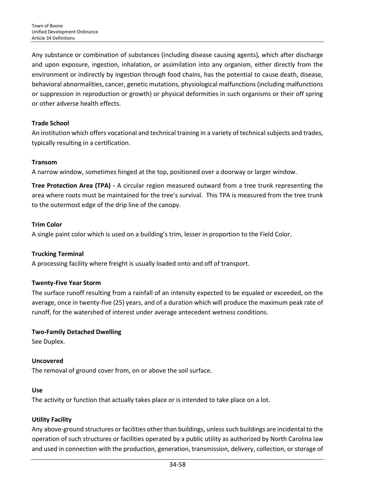Any substance or combination of substances (including disease causing agents), which after discharge and upon exposure, ingestion, inhalation, or assimilation into any organism, either directly from the environment or indirectly by ingestion through food chains, has the potential to cause death, disease, behavioral abnormalities, cancer, genetic mutations, physiological malfunctions (including malfunctions or suppression in reproduction or growth) or physical deformities in such organisms or their off spring or other adverse health effects.

## **Trade School**

An institution which offers vocational and technical training in a variety of technical subjects and trades, typically resulting in a certification.

## **Transom**

A narrow window, sometimes hinged at the top, positioned over a doorway or larger window.

**Tree Protection Area (TPA) -** A circular region measured outward from a tree trunk representing the area where roots must be maintained for the tree's survival. This TPA is measured from the tree trunk to the outermost edge of the drip line of the canopy.

## **Trim Color**

A single paint color which is used on a building's trim, lesser in proportion to the Field Color.

## **Trucking Terminal**

A processing facility where freight is usually loaded onto and off of transport.

#### **Twenty-Five Year Storm**

The surface runoff resulting from a rainfall of an intensity expected to be equaled or exceeded, on the average, once in twenty-five (25) years, and of a duration which will produce the maximum peak rate of runoff, for the watershed of interest under average antecedent wetness conditions.

## **Two-Family Detached Dwelling**

See Duplex.

## **Uncovered**

The removal of ground cover from, on or above the soil surface.

#### **Use**

The activity or function that actually takes place or is intended to take place on a lot.

## **Utility Facility**

Any above-ground structures or facilities other than buildings, unless such buildings are incidental to the operation of such structures or facilities operated by a public utility as authorized by North Carolina law and used in connection with the production, generation, transmission, delivery, collection, or storage of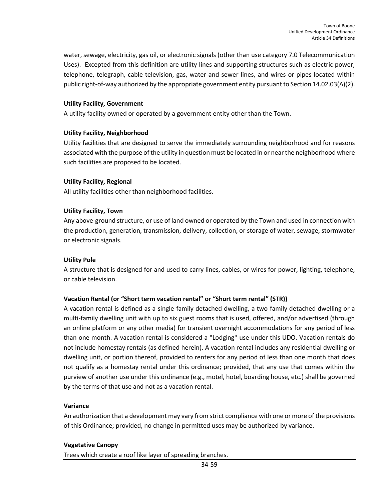water, sewage, electricity, gas oil, or electronic signals (other than use category 7.0 Telecommunication Uses). Excepted from this definition are utility lines and supporting structures such as electric power, telephone, telegraph, cable television, gas, water and sewer lines, and wires or pipes located within public right-of-way authorized by the appropriate government entity pursuant to Section 14.02.03(A)(2).

#### **Utility Facility, Government**

A utility facility owned or operated by a government entity other than the Town.

#### **Utility Facility, Neighborhood**

Utility facilities that are designed to serve the immediately surrounding neighborhood and for reasons associated with the purpose of the utility in question must be located in or near the neighborhood where such facilities are proposed to be located.

#### **Utility Facility, Regional**

All utility facilities other than neighborhood facilities.

#### **Utility Facility, Town**

Any above-ground structure, or use of land owned or operated by the Town and used in connection with the production, generation, transmission, delivery, collection, or storage of water, sewage, stormwater or electronic signals.

#### **Utility Pole**

A structure that is designed for and used to carry lines, cables, or wires for power, lighting, telephone, or cable television.

#### **Vacation Rental (or "Short term vacation rental" or "Short term rental" (STR))**

A vacation rental is defined as a single-family detached dwelling, a two-family detached dwelling or a multi-family dwelling unit with up to six guest rooms that is used, offered, and/or advertised (through an online platform or any other media) for transient overnight accommodations for any period of less than one month. A vacation rental is considered a "Lodging" use under this UDO. Vacation rentals do not include homestay rentals (as defined herein). A vacation rental includes any residential dwelling or dwelling unit, or portion thereof, provided to renters for any period of less than one month that does not qualify as a homestay rental under this ordinance; provided, that any use that comes within the purview of another use under this ordinance (e.g., motel, hotel, boarding house, etc.) shall be governed by the terms of that use and not as a vacation rental.

#### **Variance**

An authorization that a development may vary from strict compliance with one or more of the provisions of this Ordinance; provided, no change in permitted uses may be authorized by variance.

#### **Vegetative Canopy**

Trees which create a roof like layer of spreading branches.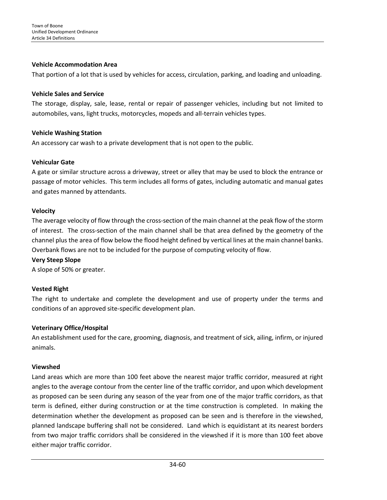## **Vehicle Accommodation Area**

That portion of a lot that is used by vehicles for access, circulation, parking, and loading and unloading.

#### **Vehicle Sales and Service**

The storage, display, sale, lease, rental or repair of passenger vehicles, including but not limited to automobiles, vans, light trucks, motorcycles, mopeds and all-terrain vehicles types.

## **Vehicle Washing Station**

An accessory car wash to a private development that is not open to the public.

## **Vehicular Gate**

A gate or similar structure across a driveway, street or alley that may be used to block the entrance or passage of motor vehicles. This term includes all forms of gates, including automatic and manual gates and gates manned by attendants.

#### **Velocity**

The average velocity of flow through the cross-section of the main channel at the peak flow of the storm of interest. The cross-section of the main channel shall be that area defined by the geometry of the channel plus the area of flow below the flood height defined by vertical lines at the main channel banks. Overbank flows are not to be included for the purpose of computing velocity of flow.

## **Very Steep Slope**

A slope of 50% or greater.

## **Vested Right**

The right to undertake and complete the development and use of property under the terms and conditions of an approved site-specific development plan.

## **Veterinary Office/Hospital**

An establishment used for the care, grooming, diagnosis, and treatment of sick, ailing, infirm, or injured animals.

#### **Viewshed**

Land areas which are more than 100 feet above the nearest major traffic corridor, measured at right angles to the average contour from the center line of the traffic corridor, and upon which development as proposed can be seen during any season of the year from one of the major traffic corridors, as that term is defined, either during construction or at the time construction is completed. In making the determination whether the development as proposed can be seen and is therefore in the viewshed, planned landscape buffering shall not be considered. Land which is equidistant at its nearest borders from two major traffic corridors shall be considered in the viewshed if it is more than 100 feet above either major traffic corridor.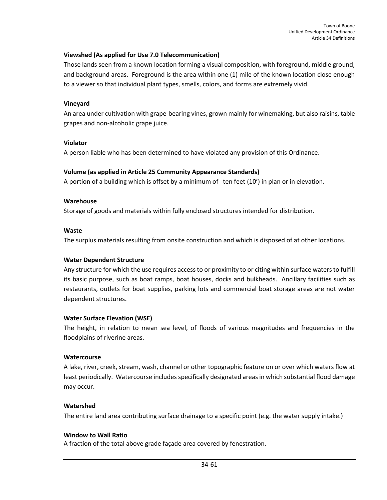## **Viewshed (As applied for Use 7.0 Telecommunication)**

Those lands seen from a known location forming a visual composition, with foreground, middle ground, and background areas. Foreground is the area within one (1) mile of the known location close enough to a viewer so that individual plant types, smells, colors, and forms are extremely vivid.

#### **Vineyard**

An area under cultivation with grape-bearing vines, grown mainly for winemaking, but also raisins, table grapes and non-alcoholic grape juice.

#### **Violator**

A person liable who has been determined to have violated any provision of this Ordinance.

#### **Volume (as applied in Article 25 Community Appearance Standards)**

A portion of a building which is offset by a minimum of ten feet (10') in plan or in elevation.

#### **Warehouse**

Storage of goods and materials within fully enclosed structures intended for distribution.

#### **Waste**

The surplus materials resulting from onsite construction and which is disposed of at other locations.

#### **Water Dependent Structure**

Any structure for which the use requires access to or proximity to or citing within surface waters to fulfill its basic purpose, such as boat ramps, boat houses, docks and bulkheads. Ancillary facilities such as restaurants, outlets for boat supplies, parking lots and commercial boat storage areas are not water dependent structures.

#### **Water Surface Elevation (WSE)**

The height, in relation to mean sea level, of floods of various magnitudes and frequencies in the floodplains of riverine areas.

#### **Watercourse**

A lake, river, creek, stream, wash, channel or other topographic feature on or over which waters flow at least periodically. Watercourse includes specifically designated areas in which substantial flood damage may occur.

#### **Watershed**

The entire land area contributing surface drainage to a specific point (e.g. the water supply intake.)

#### **Window to Wall Ratio**

A fraction of the total above grade façade area covered by fenestration.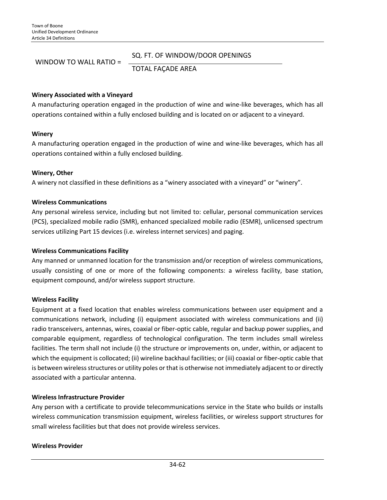## WINDOW TO WALL RATIO =

#### SQ. FT. OF WINDOW/DOOR OPENINGS

TOTAL FAÇADE AREA

#### **Winery Associated with a Vineyard**

A manufacturing operation engaged in the production of wine and wine-like beverages, which has all operations contained within a fully enclosed building and is located on or adjacent to a vineyard.

#### **Winery**

A manufacturing operation engaged in the production of wine and wine-like beverages, which has all operations contained within a fully enclosed building.

#### **Winery, Other**

A winery not classified in these definitions as a "winery associated with a vineyard" or "winery".

#### **Wireless Communications**

Any personal wireless service, including but not limited to: cellular, personal communication services (PCS), specialized mobile radio (SMR), enhanced specialized mobile radio (ESMR), unlicensed spectrum services utilizing Part 15 devices (i.e. wireless internet services) and paging.

#### **Wireless Communications Facility**

Any manned or unmanned location for the transmission and/or reception of wireless communications, usually consisting of one or more of the following components: a wireless facility, base station, equipment compound, and/or wireless support structure.

#### **Wireless Facility**

Equipment at a fixed location that enables wireless communications between user equipment and a communications network, including (i) equipment associated with wireless communications and (ii) radio transceivers, antennas, wires, coaxial or fiber-optic cable, regular and backup power supplies, and comparable equipment, regardless of technological configuration. The term includes small wireless facilities. The term shall not include (i) the structure or improvements on, under, within, or adjacent to which the equipment is collocated; (ii) wireline backhaul facilities; or (iii) coaxial or fiber-optic cable that is between wireless structures or utility poles or that is otherwise not immediately adjacent to or directly associated with a particular antenna.

#### **Wireless Infrastructure Provider**

Any person with a certificate to provide telecommunications service in the State who builds or installs wireless communication transmission equipment, wireless facilities, or wireless support structures for small wireless facilities but that does not provide wireless services.

#### **Wireless Provider**